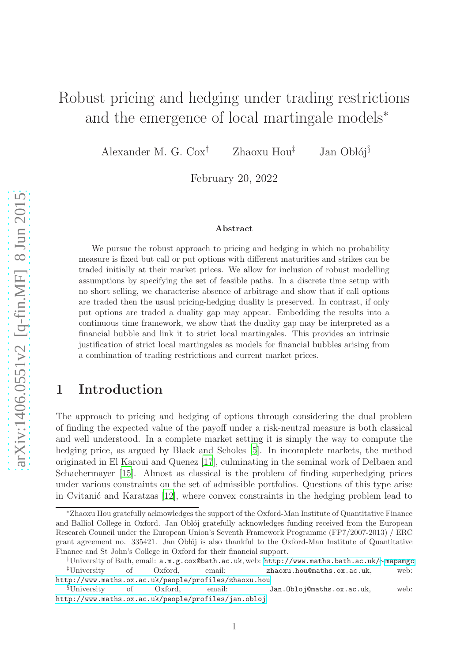# Robust pricing and hedging under trading restrictions and the emergence of local martingale models<sup>∗</sup>

Alexander M. G.  $\text{Cox}^{\dagger}$  Zhaoxu Hou<sup> $\ddagger$ </sup> Jan Obłój<sup>§</sup>

February 20, 2022

#### Abstract

We pursue the robust approach to pricing and hedging in which no probability measure is fixed but call or put options with different maturities and strikes can be traded initially at their market prices. We allow for inclusion of robust modelling assumptions by specifying the set of feasible paths. In a discrete time setup with no short selling, we characterise absence of arbitrage and show that if call options are traded then the usual pricing-hedging duality is preserved. In contrast, if only put options are traded a duality gap may appear. Embedding the results into a continuous time framework, we show that the duality gap may be interpreted as a financial bubble and link it to strict local martingales. This provides an intrinsic justification of strict local martingales as models for financial bubbles arising from a combination of trading restrictions and current market prices.

## 1 Introduction

The approach to pricing and hedging of options through considering the dual problem of finding the expected value of the payoff under a risk-neutral measure is both classical and well understood. In a complete market setting it is simply the way to compute the hedging price, as argued by Black and Scholes [\[5\]](#page-29-0). In incomplete markets, the method originated in El Karoui and Quenez [\[17\]](#page-30-0), culminating in the seminal work of Delbaen and Schachermayer [\[15\]](#page-30-1). Almost as classical is the problem of finding superhedging prices under various constraints on the set of admissible portfolios. Questions of this type arise in Cvitanić and Karatzas  $[12]$ , where convex constraints in the hedging problem lead to

<sup>∗</sup>Zhaoxu Hou gratefully acknowledges the support of the Oxford-Man Institute of Quantitative Finance and Balliol College in Oxford. Jan Oblój gratefully acknowledges funding received from the European Research Council under the European Union's Seventh Framework Programme (FP7/2007-2013) / ERC grant agreement no. 335421. Jan Oblój is also thankful to the Oxford-Man Institute of Quantitative Finance and St John's College in Oxford for their financial support.

<sup>†</sup>University of Bath, email: a.m.g.cox@bath.ac.uk, web: <http://www.maths.bath.ac.uk/>∼<mapamgc> zhaoxu.hou@maths.ox.ac.uk, <http://www.maths.ox.ac.uk/people/profiles/zhaoxu.hou>

<sup>§</sup>University of Oxford, email: Jan.Obloj@maths.ox.ac.uk, web: <http://www.maths.ox.ac.uk/people/profiles/jan.obloj>.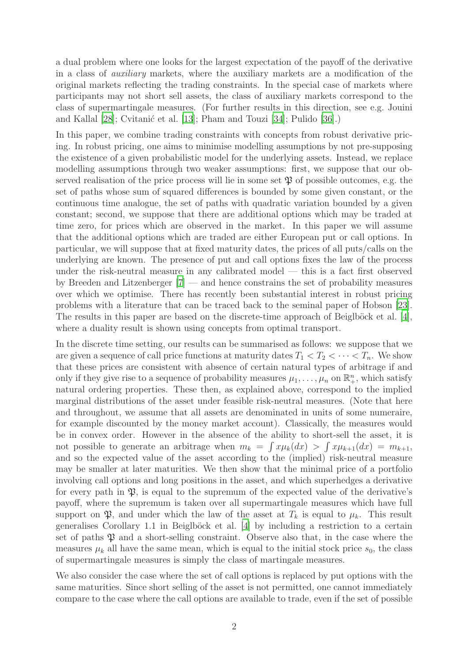a dual problem where one looks for the largest expectation of the payoff of the derivative in a class of *auxiliary* markets, where the auxiliary markets are a modification of the original markets reflecting the trading constraints. In the special case of markets where participants may not short sell assets, the class of auxiliary markets correspond to the class of supermartingale measures. (For further results in this direction, see e.g. Jouini and Kallal  $[28]$ ; Cvitanić et al.  $[13]$ ; Pham and Touzi  $[34]$ ; Pulido  $[36]$ .)

In this paper, we combine trading constraints with concepts from robust derivative pricing. In robust pricing, one aims to minimise modelling assumptions by not pre-supposing the existence of a given probabilistic model for the underlying assets. Instead, we replace modelling assumptions through two weaker assumptions: first, we suppose that our observed realisation of the price process will lie in some set  $\mathfrak P$  of possible outcomes, e.g. the set of paths whose sum of squared differences is bounded by some given constant, or the continuous time analogue, the set of paths with quadratic variation bounded by a given constant; second, we suppose that there are additional options which may be traded at time zero, for prices which are observed in the market. In this paper we will assume that the additional options which are traded are either European put or call options. In particular, we will suppose that at fixed maturity dates, the prices of all puts/calls on the underlying are known. The presence of put and call options fixes the law of the process under the risk-neutral measure in any calibrated model — this is a fact first observed by Breeden and Litzenberger [\[7](#page-29-1)] — and hence constrains the set of probability measures over which we optimise. There has recently been substantial interest in robust pricing problems with a literature that can be traced back to the seminal paper of Hobson [\[23\]](#page-30-4). The results in this paper are based on the discrete-time approach of Beiglböck et al.  $[4]$ , where a duality result is shown using concepts from optimal transport.

In the discrete time setting, our results can be summarised as follows: we suppose that we are given a sequence of call price functions at maturity dates  $T_1 < T_2 < \cdots < T_n$ . We show that these prices are consistent with absence of certain natural types of arbitrage if and only if they give rise to a sequence of probability measures  $\mu_1, \ldots, \mu_n$  on  $\mathbb{R}^n_+$ , which satisfy natural ordering properties. These then, as explained above, correspond to the implied marginal distributions of the asset under feasible risk-neutral measures. (Note that here and throughout, we assume that all assets are denominated in units of some numeraire, for example discounted by the money market account). Classically, the measures would be in convex order. However in the absence of the ability to short-sell the asset, it is not possible to generate an arbitrage when  $m_k = \int x \mu_k(dx) > \int x \mu_{k+1}(dx) = m_{k+1}$ , and so the expected value of the asset according to the (implied) risk-neutral measure may be smaller at later maturities. We then show that the minimal price of a portfolio involving call options and long positions in the asset, and which superhedges a derivative for every path in  $\mathfrak{P}$ , is equal to the supremum of the expected value of the derivative's payoff, where the supremum is taken over all supermartingale measures which have full support on  $\mathfrak{P}$ , and under which the law of the asset at  $T_k$  is equal to  $\mu_k$ . This result generalises Corollary 1.1 in Beiglböck et al.  $[4]$  by including a restriction to a certain set of paths  $\mathfrak P$  and a short-selling constraint. Observe also that, in the case where the measures  $\mu_k$  all have the same mean, which is equal to the initial stock price  $s_0$ , the class of supermartingale measures is simply the class of martingale measures.

We also consider the case where the set of call options is replaced by put options with the same maturities. Since short selling of the asset is not permitted, one cannot immediately compare to the case where the call options are available to trade, even if the set of possible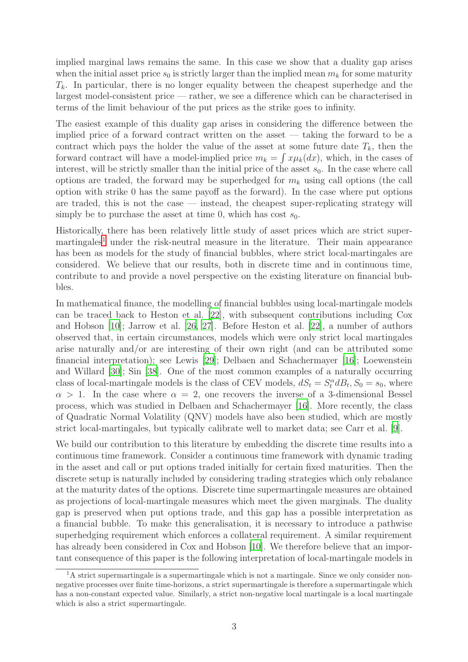implied marginal laws remains the same. In this case we show that a duality gap arises when the initial asset price  $s_0$  is strictly larger than the implied mean  $m_k$  for some maturity  $T_k$ . In particular, there is no longer equality between the cheapest superhedge and the largest model-consistent price — rather, we see a difference which can be characterised in terms of the limit behaviour of the put prices as the strike goes to infinity.

The easiest example of this duality gap arises in considering the difference between the implied price of a forward contract written on the asset — taking the forward to be a contract which pays the holder the value of the asset at some future date  $T_k$ , then the forward contract will have a model-implied price  $m_k = \int x \mu_k(dx)$ , which, in the cases of interest, will be strictly smaller than the initial price of the asset  $s_0$ . In the case where call options are traded, the forward may be superhedged for  $m_k$  using call options (the call option with strike 0 has the same payoff as the forward). In the case where put options are traded, this is not the case — instead, the cheapest super-replicating strategy will simply be to purchase the asset at time 0, which has cost  $s_0$ .

Historically, there has been relatively little study of asset prices which are strict super- $martingales<sup>1</sup> under the risk-neutral measure in the literature. Their main appearance$  $martingales<sup>1</sup> under the risk-neutral measure in the literature. Their main appearance$  $martingales<sup>1</sup> under the risk-neutral measure in the literature. Their main appearance$ has been as models for the study of financial bubbles, where strict local-martingales are considered. We believe that our results, both in discrete time and in continuous time, contribute to and provide a novel perspective on the existing literature on financial bubbles.

In mathematical finance, the modelling of financial bubbles using local-martingale models can be traced back to Heston et al. [\[22](#page-30-5)], with subsequent contributions including Cox and Hobson [\[10](#page-30-6)]; Jarrow et al. [\[26](#page-30-7), [27\]](#page-31-3). Before Heston et al. [\[22\]](#page-30-5), a number of authors observed that, in certain circumstances, models which were only strict local martingales arise naturally and/or are interesting of their own right (and can be attributed some financial interpretation); see Lewis [\[29](#page-31-4)]; Delbaen and Schachermayer [\[16](#page-30-8)]; Loewenstein and Willard [\[30\]](#page-31-5); Sin [\[38](#page-31-6)]. One of the most common examples of a naturally occurring class of local-martingale models is the class of CEV models,  $dS_t = S_t^{\alpha} dB_t$ ,  $S_0 = s_0$ , where  $\alpha > 1$ . In the case where  $\alpha = 2$ , one recovers the inverse of a 3-dimensional Bessel process, which was studied in Delbaen and Schachermayer [\[16\]](#page-30-8). More recently, the class of Quadratic Normal Volatility (QNV) models have also been studied, which are mostly strict local-martingales, but typically calibrate well to market data; see Carr et al. [\[9\]](#page-29-3).

We build our contribution to this literature by embedding the discrete time results into a continuous time framework. Consider a continuous time framework with dynamic trading in the asset and call or put options traded initially for certain fixed maturities. Then the discrete setup is naturally included by considering trading strategies which only rebalance at the maturity dates of the options. Discrete time supermartingale measures are obtained as projections of local-martingale measures which meet the given marginals. The duality gap is preserved when put options trade, and this gap has a possible interpretation as a financial bubble. To make this generalisation, it is necessary to introduce a pathwise superhedging requirement which enforces a collateral requirement. A similar requirement has already been considered in Cox and Hobson [\[10\]](#page-30-6). We therefore believe that an important consequence of this paper is the following interpretation of local-martingale models in

<span id="page-2-0"></span> $1<sup>1</sup>A$  strict supermartingale is a supermartingale which is not a martingale. Since we only consider nonnegative processes over finite time-horizons, a strict supermartingale is therefore a supermartingale which has a non-constant expected value. Similarly, a strict non-negative local martingale is a local martingale which is also a strict supermartingale.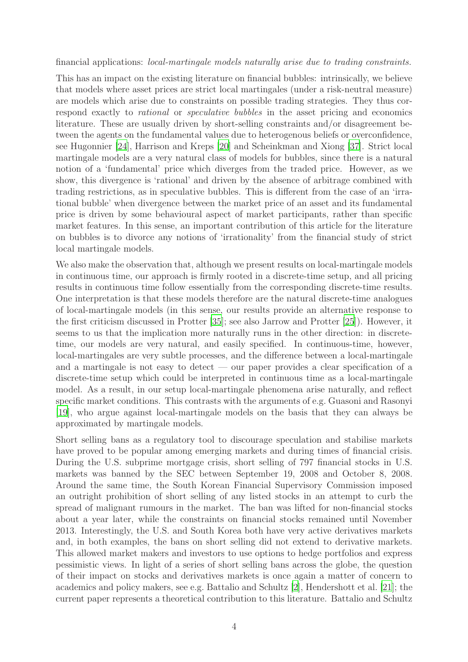financial applications: *local-martingale models naturally arise due to trading constraints.*

This has an impact on the existing literature on financial bubbles: intrinsically, we believe that models where asset prices are strict local martingales (under a risk-neutral measure) are models which arise due to constraints on possible trading strategies. They thus correspond exactly to *rational* or *speculative bubbles* in the asset pricing and economics literature. These are usually driven by short-selling constraints and/or disagreement between the agents on the fundamental values due to heterogenous beliefs or overconfidence, see Hugonnier [\[24](#page-30-9)], Harrison and Kreps [\[20\]](#page-30-10) and Scheinkman and Xiong [\[37\]](#page-31-7). Strict local martingale models are a very natural class of models for bubbles, since there is a natural notion of a 'fundamental' price which diverges from the traded price. However, as we show, this divergence is 'rational' and driven by the absence of arbitrage combined with trading restrictions, as in speculative bubbles. This is different from the case of an 'irrational bubble' when divergence between the market price of an asset and its fundamental price is driven by some behavioural aspect of market participants, rather than specific market features. In this sense, an important contribution of this article for the literature on bubbles is to divorce any notions of 'irrationality' from the financial study of strict local martingale models.

We also make the observation that, although we present results on local-martingale models in continuous time, our approach is firmly rooted in a discrete-time setup, and all pricing results in continuous time follow essentially from the corresponding discrete-time results. One interpretation is that these models therefore are the natural discrete-time analogues of local-martingale models (in this sense, our results provide an alternative response to the first criticism discussed in Protter [\[35\]](#page-31-8); see also Jarrow and Protter [\[25](#page-30-11)]). However, it seems to us that the implication more naturally runs in the other direction: in discretetime, our models are very natural, and easily specified. In continuous-time, however, local-martingales are very subtle processes, and the difference between a local-martingale and a martingale is not easy to detect — our paper provides a clear specification of a discrete-time setup which could be interpreted in continuous time as a local-martingale model. As a result, in our setup local-martingale phenomena arise naturally, and reflect specific market conditions. This contrasts with the arguments of e.g. Guasoni and Rasonyi [\[19\]](#page-30-12), who argue against local-martingale models on the basis that they can always be approximated by martingale models.

Short selling bans as a regulatory tool to discourage speculation and stabilise markets have proved to be popular among emerging markets and during times of financial crisis. During the U.S. subprime mortgage crisis, short selling of 797 financial stocks in U.S. markets was banned by the SEC between September 19, 2008 and October 8, 2008. Around the same time, the South Korean Financial Supervisory Commission imposed an outright prohibition of short selling of any listed stocks in an attempt to curb the spread of malignant rumours in the market. The ban was lifted for non-financial stocks about a year later, while the constraints on financial stocks remained until November 2013. Interestingly, the U.S. and South Korea both have very active derivatives markets and, in both examples, the bans on short selling did not extend to derivative markets. This allowed market makers and investors to use options to hedge portfolios and express pessimistic views. In light of a series of short selling bans across the globe, the question of their impact on stocks and derivatives markets is once again a matter of concern to academics and policy makers, see e.g. Battalio and Schultz [\[2\]](#page-29-4), Hendershott et al. [\[21](#page-30-13)]; the current paper represents a theoretical contribution to this literature. Battalio and Schultz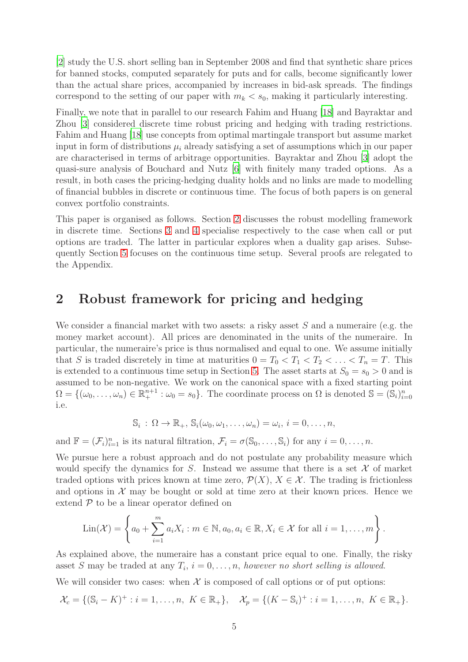[\[2\]](#page-29-4) study the U.S. short selling ban in September 2008 and find that synthetic share prices for banned stocks, computed separately for puts and for calls, become significantly lower than the actual share prices, accompanied by increases in bid-ask spreads. The findings correspond to the setting of our paper with  $m_k < s_0$ , making it particularly interesting.

Finally, we note that in parallel to our research Fahim and Huang [\[18\]](#page-30-14) and Bayraktar and Zhou [\[3\]](#page-29-5) considered discrete time robust pricing and hedging with trading restrictions. Fahim and Huang [\[18](#page-30-14)] use concepts from optimal martingale transport but assume market input in form of distributions  $\mu_i$  already satisfying a set of assumptions which in our paper are characterised in terms of arbitrage opportunities. Bayraktar and Zhou [\[3](#page-29-5)] adopt the quasi-sure analysis of Bouchard and Nutz [\[6\]](#page-29-6) with finitely many traded options. As a result, in both cases the pricing-hedging duality holds and no links are made to modelling of financial bubbles in discrete or continuous time. The focus of both papers is on general convex portfolio constraints.

This paper is organised as follows. Section [2](#page-4-0) discusses the robust modelling framework in discrete time. Sections [3](#page-7-0) and [4](#page-10-0) specialise respectively to the case when call or put options are traded. The latter in particular explores when a duality gap arises. Subsequently Section [5](#page-17-0) focuses on the continuous time setup. Several proofs are relegated to the Appendix.

## <span id="page-4-0"></span>2 Robust framework for pricing and hedging

We consider a financial market with two assets: a risky asset  $S$  and a numeraire (e.g. the money market account). All prices are denominated in the units of the numeraire. In particular, the numeraire's price is thus normalised and equal to one. We assume initially that S is traded discretely in time at maturities  $0 = T_0 < T_1 < T_2 < \ldots < T_n = T$ . This is extended to a continuous time setup in Section [5.](#page-17-0) The asset starts at  $S_0 = s_0 > 0$  and is assumed to be non-negative. We work on the canonical space with a fixed starting point  $\Omega = \{(\omega_0, \ldots, \omega_n) \in \mathbb{R}^{n+1}_+ : \omega_0 = s_0\}.$  The coordinate process on  $\Omega$  is denoted  $\mathbb{S} = (\mathbb{S}_i)_{i=0}^n$ i.e.

$$
\mathbb{S}_i: \Omega \to \mathbb{R}_+, \, \mathbb{S}_i(\omega_0, \omega_1, \ldots, \omega_n) = \omega_i, \, i = 0, \ldots, n,
$$

and  $\mathbb{F} = (\mathcal{F}_i)_{i=1}^n$  is its natural filtration,  $\mathcal{F}_i = \sigma(\mathbb{S}_0, \ldots, \mathbb{S}_i)$  for any  $i = 0, \ldots, n$ .

We pursue here a robust approach and do not postulate any probability measure which would specify the dynamics for S. Instead we assume that there is a set  $\mathcal X$  of market traded options with prices known at time zero,  $\mathcal{P}(X)$ ,  $X \in \mathcal{X}$ . The trading is frictionless and options in  $\mathcal X$  may be bought or sold at time zero at their known prices. Hence we extend  $P$  to be a linear operator defined on

$$
Lin(\mathcal{X}) = \left\{ a_0 + \sum_{i=1}^m a_i X_i : m \in \mathbb{N}, a_0, a_i \in \mathbb{R}, X_i \in \mathcal{X} \text{ for all } i = 1, \dots, m \right\}.
$$

As explained above, the numeraire has a constant price equal to one. Finally, the risky asset S may be traded at any  $T_i$ ,  $i = 0, \ldots, n$ , *however no short selling is allowed*.

We will consider two cases: when  $X$  is composed of call options or of put options:

$$
\mathcal{X}_c = \{ (\mathbb{S}_i - K)^+ : i = 1, \dots, n, \ K \in \mathbb{R}_+ \}, \quad \mathcal{X}_p = \{ (K - \mathbb{S}_i)^+ : i = 1, \dots, n, \ K \in \mathbb{R}_+ \}.
$$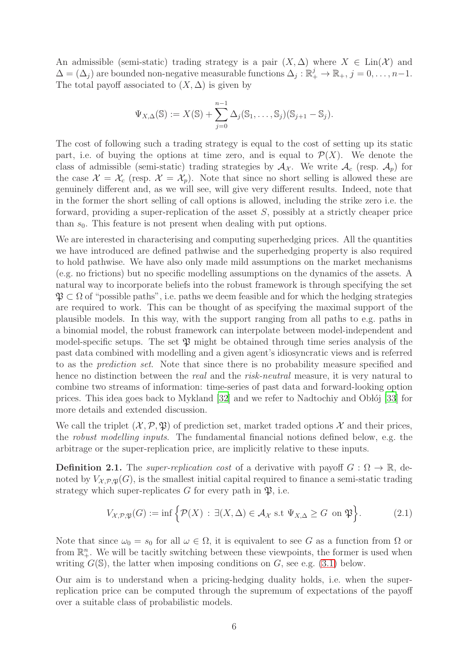An admissible (semi-static) trading strategy is a pair  $(X, \Delta)$  where  $X \in \text{Lin}(\mathcal{X})$  and  $\Delta = (\Delta_j)$  are bounded non-negative measurable functions  $\Delta_j : \mathbb{R}_+^j \to \mathbb{R}_+, j = 0, \ldots, n-1.$ The total payoff associated to  $(X, \Delta)$  is given by

$$
\Psi_{X,\Delta}(\mathbb{S}) := X(\mathbb{S}) + \sum_{j=0}^{n-1} \Delta_j(\mathbb{S}_1,\ldots,\mathbb{S}_j)(\mathbb{S}_{j+1}-\mathbb{S}_j).
$$

The cost of following such a trading strategy is equal to the cost of setting up its static part, i.e. of buying the options at time zero, and is equal to  $\mathcal{P}(X)$ . We denote the class of admissible (semi-static) trading strategies by  $A_{\mathcal{X}}$ . We write  $A_c$  (resp.  $A_p$ ) for the case  $\mathcal{X} = \mathcal{X}_c$  (resp.  $\mathcal{X} = \mathcal{X}_p$ ). Note that since no short selling is allowed these are genuinely different and, as we will see, will give very different results. Indeed, note that in the former the short selling of call options is allowed, including the strike zero i.e. the forward, providing a super-replication of the asset S, possibly at a strictly cheaper price than  $s_0$ . This feature is not present when dealing with put options.

We are interested in characterising and computing superhedging prices. All the quantities we have introduced are defined pathwise and the superhedging property is also required to hold pathwise. We have also only made mild assumptions on the market mechanisms (e.g. no frictions) but no specific modelling assumptions on the dynamics of the assets. A natural way to incorporate beliefs into the robust framework is through specifying the set  $\mathfrak{P} \subset \Omega$  of "possible paths", i.e. paths we deem feasible and for which the hedging strategies are required to work. This can be thought of as specifying the maximal support of the plausible models. In this way, with the support ranging from all paths to e.g. paths in a binomial model, the robust framework can interpolate between model-independent and model-specific setups. The set  $\mathfrak P$  might be obtained through time series analysis of the past data combined with modelling and a given agent's idiosyncratic views and is referred to as the *prediction set*. Note that since there is no probability measure specified and hence no distinction between the *real* and the *risk-neutral* measure, it is very natural to combine two streams of information: time-series of past data and forward-looking option prices. This idea goes back to Mykland  $[32]$  and we refer to Nadtochiy and Oblój  $[33]$  for more details and extended discussion.

We call the triplet  $(\mathcal{X}, \mathcal{P}, \mathfrak{P})$  of prediction set, market traded options X and their prices, the *robust modelling inputs*. The fundamental financial notions defined below, e.g. the arbitrage or the super-replication price, are implicitly relative to these inputs.

<span id="page-5-0"></span>**Definition 2.1.** The *super-replication cost* of a derivative with payoff  $G : \Omega \to \mathbb{R}$ , denoted by  $V_{\mathcal{X},\mathcal{P},\mathfrak{X}}(G)$ , is the smallest initial capital required to finance a semi-static trading strategy which super-replicates G for every path in  $\mathfrak{P}$ , i.e.

$$
V_{\mathcal{X},\mathcal{P},\mathfrak{P}}(G) := \inf \Big\{ \mathcal{P}(X) \, : \, \exists (X,\Delta) \in \mathcal{A}_\mathcal{X} \text{ s.t } \Psi_{X,\Delta} \ge G \text{ on } \mathfrak{P} \Big\}. \tag{2.1}
$$

Note that since  $\omega_0 = s_0$  for all  $\omega \in \Omega$ , it is equivalent to see G as a function from  $\Omega$  or from  $\mathbb{R}^n_+$ . We will be tacitly switching between these viewpoints, the former is used when writing  $G(\mathbb{S})$ , the latter when imposing conditions on G, see e.g. [\(3.1\)](#page-8-0) below.

Our aim is to understand when a pricing-hedging duality holds, i.e. when the superreplication price can be computed through the supremum of expectations of the payoff over a suitable class of probabilistic models.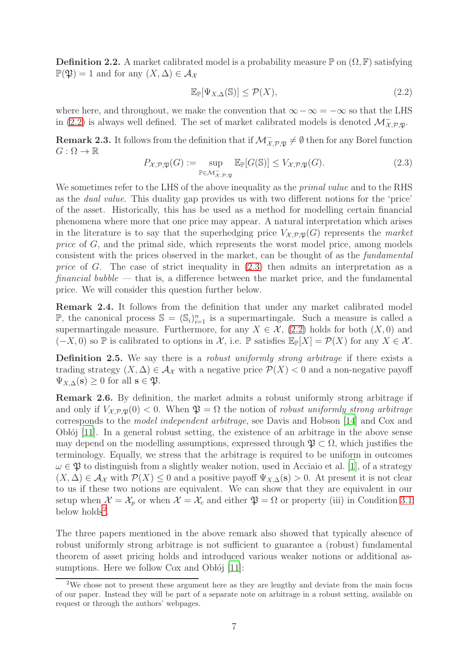<span id="page-6-5"></span>**Definition 2.2.** A market calibrated model is a probability measure  $\mathbb{P}$  on  $(\Omega, \mathbb{F})$  satisfying  $\mathbb{P}(\mathfrak{P}) = 1$  and for any  $(X, \Delta) \in \mathcal{A}_{\mathcal{X}}$ 

<span id="page-6-0"></span>
$$
\mathbb{E}_{\mathbb{P}}[\Psi_{X,\Delta}(\mathbb{S})] \le \mathcal{P}(X),\tag{2.2}
$$

where here, and throughout, we make the convention that  $\infty - \infty = -\infty$  so that the LHS in [\(2.2\)](#page-6-0) is always well defined. The set of market calibrated models is denoted  $\mathcal{M}_{\mathcal{X},\mathcal{P},\mathfrak{P}}^{\mathbb{I}}$ .

<span id="page-6-3"></span>**Remark 2.3.** It follows from the definition that if  $\mathcal{M}_{\mathcal{X},\mathcal{P},\mathfrak{P}}^{\mathcal{Z}} \neq \emptyset$  then for any Borel function  $G:\Omega\to\mathbb{R}$ 

<span id="page-6-1"></span>
$$
P_{\mathcal{X},\mathcal{P},\mathfrak{P}}(G) := \sup_{\mathbb{P}\in\mathcal{M}_{\mathcal{X},\mathcal{P},\mathfrak{P}}^-} \mathbb{E}_{\mathbb{P}}[G(\mathbb{S})] \le V_{\mathcal{X},\mathcal{P},\mathfrak{P}}(G). \tag{2.3}
$$

We sometimes refer to the LHS of the above inequality as the *primal value* and to the RHS as the *dual value*. This duality gap provides us with two different notions for the 'price' of the asset. Historically, this has be used as a method for modelling certain financial phenomena where more that one price may appear. A natural interpretation which arises in the literature is to say that the superhedging price  $V_{\mathcal{X},\mathcal{P},\mathfrak{X}}(G)$  represents the *market price* of G, and the primal side, which represents the worst model price, among models consistent with the prices observed in the market, can be thought of as the *fundamental price* of G. The case of strict inequality in [\(2.3\)](#page-6-1) then admits an interpretation as a *financial bubble* — that is, a difference between the market price, and the fundamental price. We will consider this question further below.

<span id="page-6-4"></span>Remark 2.4. It follows from the definition that under any market calibrated model  $\mathbb{P}$ , the canonical process  $\mathbb{S} = (\mathbb{S}_i)_{i=1}^n$  is a supermartingale. Such a measure is called a supermartingale measure. Furthermore, for any  $X \in \mathcal{X}$ , [\(2.2\)](#page-6-0) holds for both  $(X, 0)$  and  $(-X, 0)$  so P is calibrated to options in X, i.e. P satisfies  $\mathbb{E}_{\mathbb{P}}[X] = \mathcal{P}(X)$  for any  $X \in \mathcal{X}$ .

Definition 2.5. We say there is a *robust uniformly strong arbitrage* if there exists a trading strategy  $(X, \Delta) \in \mathcal{A}_{\mathcal{X}}$  with a negative price  $\mathcal{P}(X) < 0$  and a non-negative payoff  $\Psi_{X,\Delta}(\mathbf{s}) \geq 0$  for all  $\mathbf{s} \in \mathfrak{P}$ .

Remark 2.6. By definition, the market admits a robust uniformly strong arbitrage if and only if  $V_{\mathcal{X},\mathcal{P},\mathfrak{P}}(0) < 0$ . When  $\mathfrak{P} = \Omega$  the notion of *robust uniformly strong arbitrage* corresponds to the *model independent arbitrage*, see Davis and Hobson [\[14](#page-30-15)] and Cox and Oblój  $[11]$ . In a general robust setting, the existence of an arbitrage in the above sense may depend on the modelling assumptions, expressed through  $\mathfrak{P} \subset \Omega$ , which justifies the terminology. Equally, we stress that the arbitrage is required to be uniform in outcomes  $\omega \in \mathfrak{P}$  to distinguish from a slightly weaker notion, used in Acciaio et al. [\[1](#page-29-7)], of a strategy  $(X, \Delta) \in \mathcal{A}_{\mathcal{X}}$  with  $\mathcal{P}(X) \leq 0$  and a positive payoff  $\Psi_{X,\Delta}(\mathbf{s}) > 0$ . At present it is not clear to us if these two notions are equivalent. We can show that they are equivalent in our setup when  $\mathcal{X} = \mathcal{X}_p$  or when  $\mathcal{X} = \mathcal{X}_c$  and either  $\mathfrak{P} = \Omega$  or property (iii) in Condition [3.1](#page-7-1) below holds<sup>[2](#page-6-2)</sup>.

The three papers mentioned in the above remark also showed that typically absence of robust uniformly strong arbitrage is not sufficient to guarantee a (robust) fundamental theorem of asset pricing holds and introduced various weaker notions or additional assumptions. Here we follow  $Cox$  and Oblój [\[11](#page-30-16)]:

<span id="page-6-2"></span><sup>2</sup>We chose not to present these argument here as they are lengthy and deviate from the main focus of our paper. Instead they will be part of a separate note on arbitrage in a robust setting, available on request or through the authors' webpages.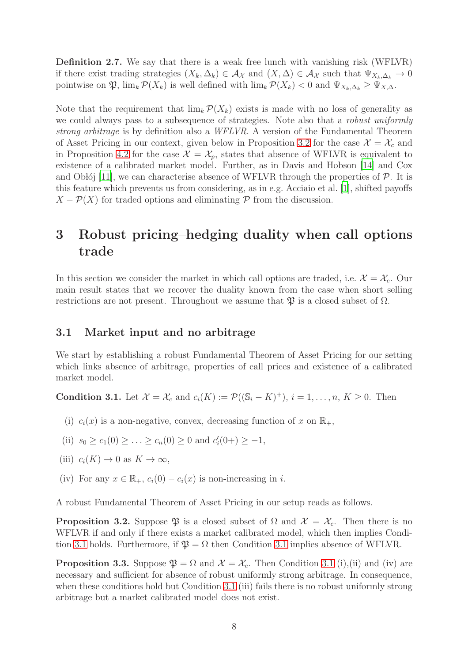Definition 2.7. We say that there is a weak free lunch with vanishing risk (WFLVR) if there exist trading strategies  $(X_k, \Delta_k) \in \mathcal{A}_{\mathcal{X}}$  and  $(X, \Delta) \in \mathcal{A}_{\mathcal{X}}$  such that  $\Psi_{X_k, \Delta_k} \to 0$ pointwise on  $\mathfrak{P}, \lim_{k} \mathcal{P}(X_k)$  is well defined with  $\lim_{k} \mathcal{P}(X_k) < 0$  and  $\Psi_{X_k,\Delta_k} \geq \Psi_{X,\Delta_k}$ .

Note that the requirement that  $\lim_{k} \mathcal{P}(X_k)$  exists is made with no loss of generality as we could always pass to a subsequence of strategies. Note also that a *robust uniformly strong arbitrage* is by definition also a *WFLVR*. A version of the Fundamental Theorem of Asset Pricing in our context, given below in Proposition [3.2](#page-7-2) for the case  $\mathcal{X} = \mathcal{X}_c$  and in Proposition [4.2](#page-10-1) for the case  $\mathcal{X} = \mathcal{X}_p$ , states that absence of WFLVR is equivalent to existence of a calibrated market model. Further, as in Davis and Hobson [\[14\]](#page-30-15) and Cox and Oblój [\[11](#page-30-16)], we can characterise absence of WFLVR through the properties of  $\mathcal{P}$ . It is this feature which prevents us from considering, as in e.g. Acciaio et al. [\[1\]](#page-29-7), shifted payoffs  $X - \mathcal{P}(X)$  for traded options and eliminating  $\mathcal P$  from the discussion.

## <span id="page-7-0"></span>3 Robust pricing–hedging duality when call options trade

In this section we consider the market in which call options are traded, i.e.  $\mathcal{X} = \mathcal{X}_c$ . Our main result states that we recover the duality known from the case when short selling restrictions are not present. Throughout we assume that  $\mathfrak{P}$  is a closed subset of  $\Omega$ .

### 3.1 Market input and no arbitrage

We start by establishing a robust Fundamental Theorem of Asset Pricing for our setting which links absence of arbitrage, properties of call prices and existence of a calibrated market model.

<span id="page-7-1"></span>**Condition 3.1.** Let  $\mathcal{X} = \mathcal{X}_c$  and  $c_i(K) := \mathcal{P}((\mathbb{S}_i - K)^+), i = 1, \dots, n, K \geq 0$ . Then

- (i)  $c_i(x)$  is a non-negative, convex, decreasing function of x on  $\mathbb{R}_+$ ,
- (ii)  $s_0 \ge c_1(0) \ge \ldots \ge c_n(0) \ge 0$  and  $c'_i(0+) \ge -1$ ,
- (iii)  $c_i(K) \to 0$  as  $K \to \infty$ ,
- (iv) For any  $x \in \mathbb{R}_+$ ,  $c_i(0) c_i(x)$  is non-increasing in i.

A robust Fundamental Theorem of Asset Pricing in our setup reads as follows.

<span id="page-7-2"></span>**Proposition 3.2.** Suppose  $\mathfrak{P}$  is a closed subset of  $\Omega$  and  $\mathcal{X} = \mathcal{X}_c$ . Then there is no WFLVR if and only if there exists a market calibrated model, which then implies Condi-tion [3.1](#page-7-1) holds. Furthermore, if  $\mathfrak{P} = \Omega$  then Condition 3.1 implies absence of WFLVR.

<span id="page-7-3"></span>**Proposition 3.3.** Suppose  $\mathfrak{P} = \Omega$  and  $\mathcal{X} = \mathcal{X}_c$ . Then Condition [3.1](#page-7-1) (i),(ii) and (iv) are necessary and sufficient for absence of robust uniformly strong arbitrage. In consequence, when these conditions hold but Condition [3.1](#page-7-1) (iii) fails there is no robust uniformly strong arbitrage but a market calibrated model does not exist.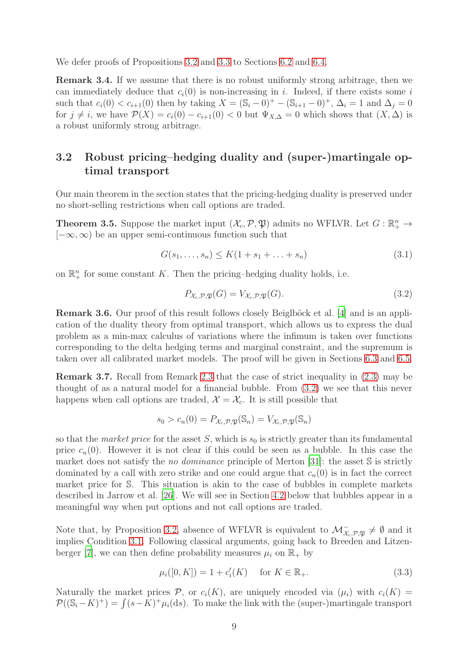We defer proofs of Propositions [3.2](#page-7-2) and [3.3](#page-7-3) to Sections [6.2](#page-22-0) and [6.4.](#page-25-0)

Remark 3.4. If we assume that there is no robust uniformly strong arbitrage, then we can immediately deduce that  $c_i(0)$  is non-increasing in i. Indeed, if there exists some i such that  $c_i(0) < c_{i+1}(0)$  then by taking  $X = (\mathbb{S}_i - 0)^+ - (\mathbb{S}_{i+1} - 0)^+$ ,  $\Delta_i = 1$  and  $\Delta_j = 0$ for  $j \neq i$ , we have  $\mathcal{P}(X) = c_i(0) - c_{i+1}(0) < 0$  but  $\Psi_{X,\Delta} = 0$  which shows that  $(X, \Delta)$  is a robust uniformly strong arbitrage.

## 3.2 Robust pricing–hedging duality and (super-)martingale optimal transport

Our main theorem in the section states that the pricing-hedging duality is preserved under no short-selling restrictions when call options are traded.

<span id="page-8-2"></span>**Theorem 3.5.** Suppose the market input  $(\mathcal{X}_c, \mathcal{P}, \mathfrak{P})$  admits no WFLVR. Let  $G : \mathbb{R}^n_+ \to$  $[-\infty, \infty)$  be an upper semi-continuous function such that

<span id="page-8-0"></span>
$$
G(s_1, ..., s_n) \le K(1 + s_1 + ... + s_n)
$$
\n(3.1)

on  $\mathbb{R}^n_+$  for some constant K. Then the pricing-hedging duality holds, i.e.

<span id="page-8-1"></span>
$$
P_{\mathcal{X}_c, \mathcal{P}, \mathfrak{P}}(G) = V_{\mathcal{X}_c, \mathcal{P}, \mathfrak{P}}(G). \tag{3.2}
$$

Remark 3.6. Our proof of this result follows closely Beiglböck et al. [\[4\]](#page-29-2) and is an application of the duality theory from optimal transport, which allows us to express the dual problem as a min-max calculus of variations where the infimum is taken over functions corresponding to the delta hedging terms and marginal constraint, and the supremum is taken over all calibrated market models. The proof will be given in Sections [6.3](#page-23-0) and [6.5.](#page-26-0)

<span id="page-8-4"></span>Remark 3.7. Recall from Remark [2.3](#page-6-3) that the case of strict inequality in [\(2.3\)](#page-6-1) may be thought of as a natural model for a financial bubble. From [\(3.2\)](#page-8-1) we see that this never happens when call options are traded,  $\mathcal{X} = \mathcal{X}_c$ . It is still possible that

$$
s_0 > c_n(0) = P_{\mathcal{X}_c, \mathcal{P}, \mathfrak{P}}(\mathbb{S}_n) = V_{\mathcal{X}_c, \mathcal{P}, \mathfrak{P}}(\mathbb{S}_n)
$$

so that the *market price* for the asset  $S$ , which is  $s_0$  is strictly greater than its fundamental price  $c_n(0)$ . However it is not clear if this could be seen as a bubble. In this case the market does not satisfy the *no dominance* principle of Merton [\[31](#page-31-11)]: the asset S is strictly dominated by a call with zero strike and one could argue that  $c_n(0)$  is in fact the correct market price for S. This situation is akin to the case of bubbles in complete markets described in Jarrow et al. [\[26\]](#page-30-7). We will see in Section [4.2](#page-11-0) below that bubbles appear in a meaningful way when put options and not call options are traded.

Note that, by Proposition [3.2,](#page-7-2) absence of WFLVR is equivalent to  $\mathcal{M}_{\chi_c,\mathcal{P},\mathfrak{P}}^-\neq \emptyset$  and it implies Condition [3.1.](#page-7-1) Following classical arguments, going back to Breeden and Litzen-berger [\[7](#page-29-1)], we can then define probability measures  $\mu_i$  on  $\mathbb{R}_+$  by

<span id="page-8-3"></span>
$$
\mu_i([0, K]) = 1 + c'_i(K) \quad \text{for } K \in \mathbb{R}_+.
$$
\n(3.3)

Naturally the market prices  $P$ , or  $c_i(K)$ , are uniquely encoded via  $(\mu_i)$  with  $c_i(K)$  $\mathcal{P}((\mathbb{S}_i - K)^+) = \int (s - K)^+ \mu_i(\text{d}s)$ . To make the link with the (super-)martingale transport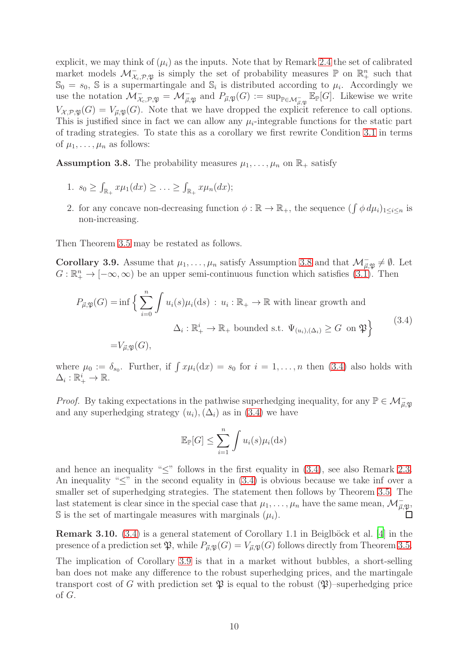explicit, we may think of  $(\mu_i)$  as the inputs. Note that by Remark [2.4](#page-6-4) the set of calibrated market models  $\mathcal{M}_{\mathcal{X}_c,\mathcal{P},\mathfrak{P}}^-$  is simply the set of probability measures  $\mathbb{P}$  on  $\mathbb{R}^n_+$  such that  $\mathbb{S}_0 = s_0$ , S is a supermartingale and  $\mathbb{S}_i$  is distributed according to  $\mu_i$ . Accordingly we use the notation  $\mathcal{M}_{\mathcal{X}_c,\mathcal{P},\mathfrak{P}}^{\mathcal{Y}} = \mathcal{M}_{\vec{\mu},\mathfrak{P}}^{\mathcal{Y}}$  and  $P_{\vec{\mu},\mathfrak{P}}(G) := \sup_{\mathbb{P} \in \mathcal{M}_{\vec{\mu},\mathfrak{P}}^{\mathcal{Y}}} \mathbb{E}_{\mathbb{P}}[G]$ . Likewise we write  $V_{\mathcal{X},\mathcal{P},\mathfrak{P}}(G) = V_{\vec{\mu},\mathfrak{P}}(G)$ . Note that we have dropped the explicit reference to call options. This is justified since in fact we can allow any  $\mu_i$ -integrable functions for the static part of trading strategies. To state this as a corollary we first rewrite Condition [3.1](#page-7-1) in terms of  $\mu_1, \ldots, \mu_n$  as follows:

<span id="page-9-0"></span>**Assumption 3.8.** The probability measures  $\mu_1, \ldots, \mu_n$  on  $\mathbb{R}_+$  satisfy

- 1.  $s_0 \geq \int_{\mathbb{R}_+} x \mu_1(dx) \geq \ldots \geq \int_{\mathbb{R}_+} x \mu_n(dx);$
- 2. for any concave non-decreasing function  $\phi : \mathbb{R} \to \mathbb{R}_+$ , the sequence  $(\int \phi \, d\mu_i)_{1 \leq i \leq n}$  is non-increasing.

Then Theorem [3.5](#page-8-2) may be restated as follows.

<span id="page-9-2"></span>**Corollary 3.9.** Assume that  $\mu_1, \ldots, \mu_n$  satisfy Assumption [3.8](#page-9-0) and that  $\mathcal{M}_{\vec{\mu}, \mathfrak{P}} \neq \emptyset$ . Let  $G: \mathbb{R}^n_+ \to [-\infty, \infty)$  be an upper semi-continuous function which satisfies [\(3.1\)](#page-8-0). Then

<span id="page-9-1"></span>
$$
P_{\vec{\mu},\mathfrak{P}}(G) = \inf \left\{ \sum_{i=0}^{n} \int u_i(s) \mu_i(ds) : u_i : \mathbb{R}_+ \to \mathbb{R} \text{ with linear growth and}
$$
  

$$
\Delta_i : \mathbb{R}_+^i \to \mathbb{R}_+ \text{ bounded s.t. } \Psi_{(u_i),(\Delta_i)} \ge G \text{ on } \mathfrak{P} \right\}
$$
(3.4)  

$$
= V_{\vec{\mu},\mathfrak{P}}(G),
$$

where  $\mu_0 := \delta_{s_0}$ . Further, if  $\int x \mu_i(\mathrm{d}x) = s_0$  for  $i = 1, \ldots, n$  then [\(3.4\)](#page-9-1) also holds with  $\Delta_i:\mathbb{R}_+^i\to\mathbb{R}$ .

*Proof.* By taking expectations in the pathwise superhedging inequality, for any  $\mathbb{P} \in \mathcal{M}_{\vec{\mu},\mathfrak{P}}$ and any superhedging strategy  $(u_i),(\Delta_i)$  as in [\(3.4\)](#page-9-1) we have

$$
\mathbb{E}_{\mathbb{P}}[G] \le \sum_{i=1}^{n} \int u_i(s) \mu_i(ds)
$$

and hence an inequality "≤" follows in the first equality in [\(3.4\)](#page-9-1), see also Remark [2.3.](#page-6-3) An inequality " $\leq$ " in the second equality in [\(3.4\)](#page-9-1) is obvious because we take inf over a smaller set of superhedging strategies. The statement then follows by Theorem [3.5.](#page-8-2) The last statement is clear since in the special case that  $\mu_1, \ldots, \mu_n$  have the same mean,  $\mathcal{M}^-_{\vec{\mu}, \mathfrak{P}},$ S is the set of martingale measures with marginals  $(\mu_i)$ .

**Remark 3.10.** [\(3.4\)](#page-9-1) is a general statement of Corollary 1.1 in Beiglböck et al. [\[4](#page-29-2)] in the presence of a prediction set  $\mathfrak{P}$ , while  $P_{\vec{\mu},\mathfrak{P}}(G) = V_{\vec{\mu},\mathfrak{P}}(G)$  follows directly from Theorem [3.5.](#page-8-2)

The implication of Corollary [3.9](#page-9-2) is that in a market without bubbles, a short-selling ban does not make any difference to the robust superhedging prices, and the martingale transport cost of G with prediction set  $\mathfrak P$  is equal to the robust  $(\mathfrak P)$ –superhedging price of G.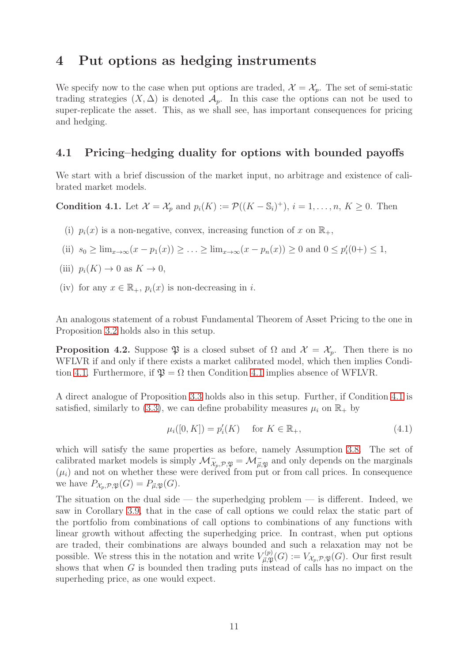## <span id="page-10-0"></span>4 Put options as hedging instruments

We specify now to the case when put options are traded,  $\mathcal{X} = \mathcal{X}_p$ . The set of semi-static trading strategies  $(X, \Delta)$  is denoted  $\mathcal{A}_p$ . In this case the options can not be used to super-replicate the asset. This, as we shall see, has important consequences for pricing and hedging.

### 4.1 Pricing–hedging duality for options with bounded payoffs

We start with a brief discussion of the market input, no arbitrage and existence of calibrated market models.

<span id="page-10-2"></span>**Condition 4.1.** Let  $\mathcal{X} = \mathcal{X}_p$  and  $p_i(K) := \mathcal{P}((K - \mathbb{S}_i)^+), i = 1, \dots, n, K \geq 0$ . Then

- (i)  $p_i(x)$  is a non-negative, convex, increasing function of x on  $\mathbb{R}_+$ ,
- (ii)  $s_0 \ge \lim_{x \to \infty} (x p_1(x)) \ge \dots \ge \lim_{x \to \infty} (x p_n(x)) \ge 0$  and  $0 \le p'_i(0+) \le 1$ ,
- (iii)  $p_i(K) \to 0$  as  $K \to 0$ ,
- (iv) for any  $x \in \mathbb{R}_+$ ,  $p_i(x)$  is non-decreasing in i.

An analogous statement of a robust Fundamental Theorem of Asset Pricing to the one in Proposition [3.2](#page-7-2) holds also in this setup.

<span id="page-10-1"></span>**Proposition 4.2.** Suppose  $\mathfrak{P}$  is a closed subset of  $\Omega$  and  $\mathcal{X} = \mathcal{X}_p$ . Then there is no WFLVR if and only if there exists a market calibrated model, which then implies Condi-tion [4.1.](#page-10-2) Furthermore, if  $\mathfrak{P} = \Omega$  then Condition [4.1](#page-10-2) implies absence of WFLVR.

A direct analogue of Proposition [3.3](#page-7-3) holds also in this setup. Further, if Condition [4.1](#page-10-2) is satisfied, similarly to [\(3.3\)](#page-8-3), we can define probability measures  $\mu_i$  on  $\mathbb{R}_+$  by

<span id="page-10-3"></span>
$$
\mu_i([0, K]) = p'_i(K) \quad \text{for } K \in \mathbb{R}_+, \tag{4.1}
$$

which will satisfy the same properties as before, namely Assumption [3.8.](#page-9-0) The set of calibrated market models is simply  $\mathcal{M}_{\mathcal{X}_p, \mathcal{P}, \mathfrak{P}}^{\mathcal{Y}} = \mathcal{M}_{\vec{\mu}, \mathfrak{P}}^{\mathcal{Y}}$  and only depends on the marginals  $(\mu_i)$  and not on whether these were derived from put or from call prices. In consequence we have  $P_{\mathcal{X}_p,\mathcal{P},\mathfrak{P}}(G) = P_{\vec{\mu},\mathfrak{P}}(G)$ .

The situation on the dual side — the superhedging problem — is different. Indeed, we saw in Corollary [3.9,](#page-9-2) that in the case of call options we could relax the static part of the portfolio from combinations of call options to combinations of any functions with linear growth without affecting the superhedging price. In contrast, when put options are traded, their combinations are always bounded and such a relaxation may not be possible. We stress this in the notation and write  $V_{\vec{n},\mathfrak{N}}^{(p)}$  $V_{\vec{\mu}, \mathfrak{P}}^{(p)}(G) := V_{\mathcal{X}_p, \mathcal{P}, \mathfrak{P}}(G)$ . Our first result shows that when G is bounded then trading puts instead of calls has no impact on the superheding price, as one would expect.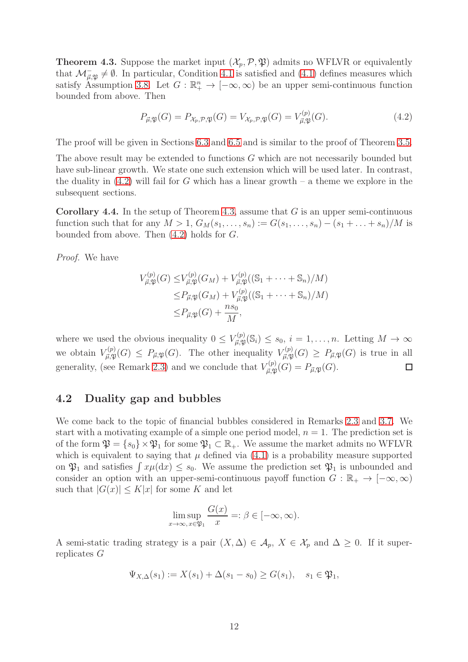<span id="page-11-2"></span>**Theorem 4.3.** Suppose the market input  $(\mathcal{X}_p, \mathcal{P}, \mathfrak{P})$  admits no WFLVR or equivalently that  $\mathcal{M}_{\vec{\mu},\mathfrak{P}} \neq \emptyset$ . In particular, Condition [4.1](#page-10-2) is satisfied and [\(4.1\)](#page-10-3) defines measures which satisfy Assumption [3.8.](#page-9-0) Let  $G : \mathbb{R}^n_+ \to [-\infty, \infty)$  be an upper semi-continuous function bounded from above. Then

<span id="page-11-1"></span>
$$
P_{\vec{\mu},\mathfrak{P}}(G) = P_{\mathcal{X}_p,\mathcal{P},\mathfrak{P}}(G) = V_{\mathcal{X}_p,\mathcal{P},\mathfrak{P}}(G) = V_{\vec{\mu},\mathfrak{P}}^{(p)}(G). \tag{4.2}
$$

The proof will be given in Sections [6.3](#page-23-0) and [6.5](#page-26-0) and is similar to the proof of Theorem [3.5.](#page-8-2)

The above result may be extended to functions G which are not necessarily bounded but have sub-linear growth. We state one such extension which will be used later. In contrast, the duality in  $(4.2)$  will fail for G which has a linear growth – a theme we explore in the subsequent sections.

<span id="page-11-3"></span>**Corollary 4.4.** In the setup of Theorem [4.3,](#page-11-2) assume that  $G$  is an upper semi-continuous function such that for any  $M > 1$ ,  $G_M(s_1, ..., s_n) := G(s_1, ..., s_n) - (s_1 + ... + s_n)/M$  is bounded from above. Then  $(4.2)$  holds for  $G$ .

*Proof.* We have

$$
V_{\vec{\mu},\mathfrak{P}}^{(p)}(G) \leq V_{\vec{\mu},\mathfrak{P}}^{(p)}(G_M) + V_{\vec{\mu},\mathfrak{P}}^{(p)}((\mathbb{S}_1 + \dots + \mathbb{S}_n)/M)
$$
  
\n
$$
\leq P_{\vec{\mu},\mathfrak{P}}(G_M) + V_{\vec{\mu},\mathfrak{P}}^{(p)}((\mathbb{S}_1 + \dots + \mathbb{S}_n)/M)
$$
  
\n
$$
\leq P_{\vec{\mu},\mathfrak{P}}(G) + \frac{ns_0}{M},
$$

where we used the obvious inequality  $0 \leq V_{\vec{\mu}, \mathfrak{P}}^{(p)}$  $_{\vec{\mu},\mathfrak{P}}^{(p)}(\mathbb{S}_i) \leq s_0, i = 1,\ldots,n.$  Letting  $M \to \infty$ we obtain  $V_{\vec{n},\mathfrak{N}}^{(p)}$  $F_{\vec{\mu}, \mathfrak{P}}^{(p)}(G) \leq P_{\vec{\mu}, \mathfrak{P}}(G)$ . The other inequality  $V_{\vec{\mu}, \mathfrak{P}}^{(p)}$  $_{\vec{\mu},\mathfrak{P}}^{(p)}(G) \geq P_{\vec{\mu},\mathfrak{P}}(G)$  is true in all generality, (see Remark [2.3\)](#page-6-3) and we conclude that  $V_{\vec{n},\mathfrak{N}}^{(p)}$  $\Box$  $_{\vec{\mu},\mathfrak{P}}^{(p)}(G)=P_{\vec{\mu},\mathfrak{P}}(G).$ 

### <span id="page-11-0"></span>4.2 Duality gap and bubbles

We come back to the topic of financial bubbles considered in Remarks [2.3](#page-6-3) and [3.7.](#page-8-4) We start with a motivating example of a simple one period model,  $n = 1$ . The prediction set is of the form  $\mathfrak{P} = \{s_0\} \times \mathfrak{P}_1$  for some  $\mathfrak{P}_1 \subset \mathbb{R}_+$ . We assume the market admits no WFLVR which is equivalent to saying that  $\mu$  defined via [\(4.1\)](#page-10-3) is a probability measure supported on  $\mathfrak{P}_1$  and satisfies  $\int x\mu(\mathrm{d}x) \leq s_0$ . We assume the prediction set  $\mathfrak{P}_1$  is unbounded and consider an option with an upper-semi-continuous payoff function  $G : \mathbb{R}_+ \to [-\infty, \infty)$ such that  $|G(x)| \leq K|x|$  for some K and let

$$
\limsup_{x \to \infty, x \in \mathfrak{P}_1} \frac{G(x)}{x} =: \beta \in [-\infty, \infty).
$$

A semi-static trading strategy is a pair  $(X, \Delta) \in \mathcal{A}_p$ ,  $X \in \mathcal{X}_p$  and  $\Delta \geq 0$ . If it superreplicates G

$$
\Psi_{X,\Delta}(s_1) := X(s_1) + \Delta(s_1 - s_0) \ge G(s_1), \quad s_1 \in \mathfrak{P}_1,
$$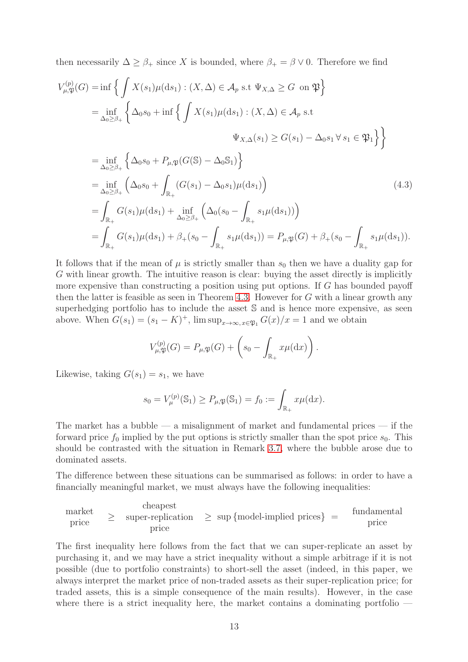then necessarily  $\Delta \geq \beta_+$  since X is bounded, where  $\beta_+ = \beta \vee 0$ . Therefore we find

$$
V_{\mu,\mathfrak{P}}^{(p)}(G) = \inf \Big\{ \int X(s_1) \mu(\mathrm{d}s_1) : (X, \Delta) \in \mathcal{A}_p \text{ s.t } \Psi_{X,\Delta} \geq G \text{ on } \mathfrak{P} \Big\}
$$
  
\n
$$
= \inf_{\Delta_0 \geq \beta_+} \Big\{ \Delta_0 s_0 + \inf \Big\{ \int X(s_1) \mu(\mathrm{d}s_1) : (X, \Delta) \in \mathcal{A}_p \text{ s.t}
$$
  
\n
$$
\Psi_{X,\Delta}(s_1) \geq G(s_1) - \Delta_0 s_1 \forall s_1 \in \mathfrak{P}_1 \Big\} \Big\}
$$
  
\n
$$
= \inf_{\Delta_0 \geq \beta_+} \Big\{ \Delta_0 s_0 + P_{\mu,\mathfrak{P}}(G(\mathbb{S}) - \Delta_0 \mathbb{S}_1) \Big\}
$$
  
\n
$$
= \inf_{\Delta_0 \geq \beta_+} \Big( \Delta_0 s_0 + \int_{\mathbb{R}_+} (G(s_1) - \Delta_0 s_1) \mu(\mathrm{d}s_1) \Big)
$$
  
\n
$$
= \int_{\mathbb{R}_+} G(s_1) \mu(\mathrm{d}s_1) + \inf_{\Delta_0 \geq \beta_+} \Big( \Delta_0 (s_0 - \int_{\mathbb{R}_+} s_1 \mu(\mathrm{d}s_1) \Big) \Big)
$$
  
\n
$$
= \int_{\mathbb{R}_+} G(s_1) \mu(\mathrm{d}s_1) + \beta_+ (s_0 - \int_{\mathbb{R}_+} s_1 \mu(\mathrm{d}s_1) \Big) = P_{\mu,\mathfrak{P}}(G) + \beta_+ (s_0 - \int_{\mathbb{R}_+} s_1 \mu(\mathrm{d}s_1) ).
$$
 (4.3)

It follows that if the mean of  $\mu$  is strictly smaller than  $s_0$  then we have a duality gap for G with linear growth. The intuitive reason is clear: buying the asset directly is implicitly more expensive than constructing a position using put options. If G has bounded payoff then the latter is feasible as seen in Theorem [4.3.](#page-11-2) However for  $G$  with a linear growth any superhedging portfolio has to include the asset S and is hence more expensive, as seen above. When  $G(s_1) = (s_1 - K)^+$ ,  $\limsup_{x \to \infty, x \in \mathfrak{P}_1} G(x)/x = 1$  and we obtain

<span id="page-12-0"></span>
$$
V_{\mu,\mathfrak{P}}^{(p)}(G) = P_{\mu,\mathfrak{P}}(G) + \left(s_0 - \int_{\mathbb{R}_+} x\mu(\mathrm{d}x)\right).
$$

Likewise, taking  $G(s_1) = s_1$ , we have

$$
s_0 = V_{\mu}^{(p)}(\mathbb{S}_1) \ge P_{\mu, \mathfrak{P}}(\mathbb{S}_1) = f_0 := \int_{\mathbb{R}_+} x \mu(\mathrm{d} x).
$$

The market has a bubble — a misalignment of market and fundamental prices — if the forward price  $f_0$  implied by the put options is strictly smaller than the spot price  $s_0$ . This should be contrasted with the situation in Remark [3.7,](#page-8-4) where the bubble arose due to dominated assets.

The difference between these situations can be summarised as follows: in order to have a financially meaningful market, we must always have the following inequalities:

$$
\begin{array}{ccc}\n\text{market} \\
\text{price} & \geq & \text{super-replication} \\
\text{price} & & \geq & \text{sup}\{\text{model-implied prices}\} \\
& & = & \text{fundamental price} \\
\end{array}
$$

The first inequality here follows from the fact that we can super-replicate an asset by purchasing it, and we may have a strict inequality without a simple arbitrage if it is not possible (due to portfolio constraints) to short-sell the asset (indeed, in this paper, we always interpret the market price of non-traded assets as their super-replication price; for traded assets, this is a simple consequence of the main results). However, in the case where there is a strict inequality here, the market contains a dominating portfolio —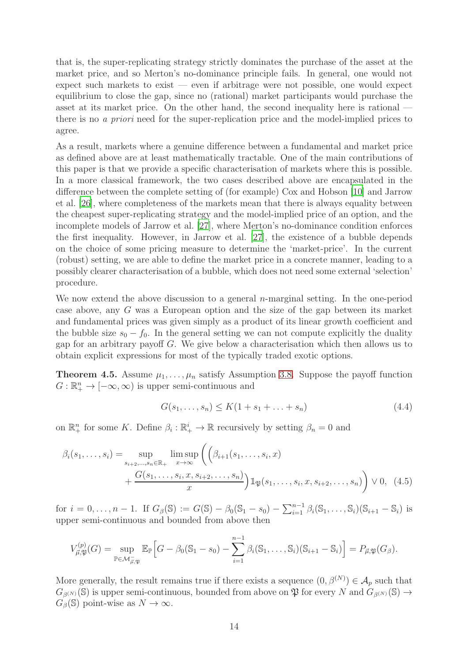that is, the super-replicating strategy strictly dominates the purchase of the asset at the market price, and so Merton's no-dominance principle fails. In general, one would not expect such markets to exist — even if arbitrage were not possible, one would expect equilibrium to close the gap, since no (rational) market participants would purchase the asset at its market price. On the other hand, the second inequality here is rational there is no *a priori* need for the super-replication price and the model-implied prices to agree.

As a result, markets where a genuine difference between a fundamental and market price as defined above are at least mathematically tractable. One of the main contributions of this paper is that we provide a specific characterisation of markets where this is possible. In a more classical framework, the two cases described above are encapsulated in the difference between the complete setting of (for example) Cox and Hobson [\[10\]](#page-30-6) and Jarrow et al. [\[26\]](#page-30-7), where completeness of the markets mean that there is always equality between the cheapest super-replicating strategy and the model-implied price of an option, and the incomplete models of Jarrow et al. [\[27](#page-31-3)], where Merton's no-dominance condition enforces the first inequality. However, in Jarrow et al. [\[27](#page-31-3)], the existence of a bubble depends on the choice of some pricing measure to determine the 'market-price'. In the current (robust) setting, we are able to define the market price in a concrete manner, leading to a possibly clearer characterisation of a bubble, which does not need some external 'selection' procedure.

We now extend the above discussion to a general  $n$ -marginal setting. In the one-period case above, any G was a European option and the size of the gap between its market and fundamental prices was given simply as a product of its linear growth coefficient and the bubble size  $s_0 - f_0$ . In the general setting we can not compute explicitly the duality gap for an arbitrary payoff G. We give below a characterisation which then allows us to obtain explicit expressions for most of the typically traded exotic options.

<span id="page-13-1"></span>**Theorem 4.5.** Assume  $\mu_1, \ldots, \mu_n$  satisfy Assumption [3.8.](#page-9-0) Suppose the payoff function  $G: \mathbb{R}^n_+ \to [-\infty, \infty)$  is upper semi-continuous and

<span id="page-13-0"></span>
$$
G(s_1, ..., s_n) \le K(1 + s_1 + ... + s_n)
$$
\n(4.4)

on  $\mathbb{R}^n_+$  for some K. Define  $\beta_i : \mathbb{R}^i_+ \to \mathbb{R}$  recursively by setting  $\beta_n = 0$  and

$$
\beta_i(s_1, ..., s_i) = \sup_{\substack{s_{i+2}, ..., s_n \in \mathbb{R}_+ \\ + \frac{G(s_1, ..., s_i, x, s_{i+2}, ..., s_n)}{x}}} \limsup_{x \to \infty} \left( \left( \beta_{i+1}(s_1, ..., s_i, x) + \frac{G(s_1, ..., s_i, x, s_{i+2}, ..., s_n)}{x} \right) \mathbb{1}_{\mathfrak{P}}(s_1, ..., s_i, x, s_{i+2}, ..., s_n) \right) \vee 0, \tag{4.5}
$$

for  $i = 0, ..., n - 1$ . If  $G_{\beta}(\mathbb{S}) := G(\mathbb{S}) - \beta_0(\mathbb{S}_1 - s_0) - \sum_{i=1}^{n-1} \beta_i(\mathbb{S}_1, ..., \mathbb{S}_i)(\mathbb{S}_{i+1} - \mathbb{S}_i)$  is upper semi-continuous and bounded from above then

$$
V_{\vec{\mu},\mathfrak{P}}^{(p)}(G)=\sup_{\mathbb{P}\in \mathcal{M}_{\vec{\mu},\mathfrak{P}}^-}\mathbb{E}_{\mathbb{P}}\Big[G-\beta_0(\mathbb{S}_1-s_0)-\sum_{i=1}^{n-1}\beta_i(\mathbb{S}_1,\ldots,\mathbb{S}_i)(\mathbb{S}_{i+1}-\mathbb{S}_i)\Big]=P_{\vec{\mu},\mathfrak{P}}(G_{\beta}).
$$

More generally, the result remains true if there exists a sequence  $(0, \beta^{(N)}) \in \mathcal{A}_p$  such that  $G_{\beta^{(N)}}(\mathbb{S})$  is upper semi-continuous, bounded from above on  $\mathfrak{P}$  for every N and  $G_{\beta^{(N)}}(\mathbb{S}) \to$  $G_{\beta}(\mathbb{S})$  point-wise as  $N \to \infty$ .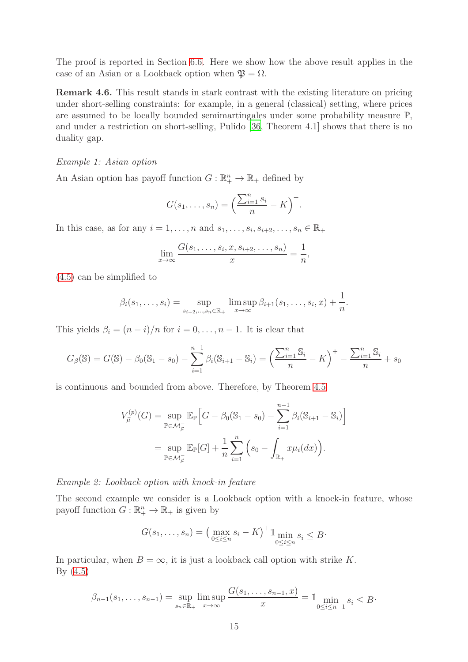The proof is reported in Section [6.6.](#page-26-1) Here we show how the above result applies in the case of an Asian or a Lookback option when  $\mathfrak{P} = \Omega$ .

Remark 4.6. This result stands in stark contrast with the existing literature on pricing under short-selling constraints: for example, in a general (classical) setting, where prices are assumed to be locally bounded semimartingales under some probability measure P, and under a restriction on short-selling, Pulido [\[36](#page-31-2), Theorem 4.1] shows that there is no duality gap.

#### *Example 1: Asian option*

An Asian option has payoff function  $G: \mathbb{R}^n_+ \to \mathbb{R}_+$  defined by

$$
G(s_1,\ldots,s_n)=\left(\frac{\sum_{i=1}^n s_i}{n}-K\right)^+.
$$

In this case, as for any  $i = 1, \ldots, n$  and  $s_1, \ldots, s_i, s_{i+2}, \ldots, s_n \in \mathbb{R}_+$ 

$$
\lim_{x \to \infty} \frac{G(s_1, \dots, s_i, x, s_{i+2}, \dots, s_n)}{x} = \frac{1}{n},
$$

[\(4.5\)](#page-13-0) can be simplified to

$$
\beta_i(s_1,...,s_i) = \sup_{s_{i+2},...,s_n \in \mathbb{R}_+} \limsup_{x \to \infty} \beta_{i+1}(s_1,...,s_i,x) + \frac{1}{n}.
$$

This yields  $\beta_i = (n - i)/n$  for  $i = 0, \ldots, n - 1$ . It is clear that

$$
G_{\beta}(\mathbb{S}) = G(\mathbb{S}) - \beta_0(\mathbb{S}_1 - s_0) - \sum_{i=1}^{n-1} \beta_i(\mathbb{S}_{i+1} - \mathbb{S}_i) = \left(\frac{\sum_{i=1}^n \mathbb{S}_i}{n} - K\right)^+ - \frac{\sum_{i=1}^n \mathbb{S}_i}{n} + s_0
$$

is continuous and bounded from above. Therefore, by Theorem [4.5](#page-13-1)

$$
V_{\vec{\mu}}^{(p)}(G) = \sup_{\mathbb{P} \in \mathcal{M}_{\vec{\mu}}^-} \mathbb{E}_{\mathbb{P}} \Big[ G - \beta_0 (\mathbb{S}_1 - s_0) - \sum_{i=1}^{n-1} \beta_i (\mathbb{S}_{i+1} - \mathbb{S}_i) \Big]
$$
  
= 
$$
\sup_{\mathbb{P} \in \mathcal{M}_{\vec{\mu}}^-} \mathbb{E}_{\mathbb{P}}[G] + \frac{1}{n} \sum_{i=1}^n \left( s_0 - \int_{\mathbb{R}_+} x \mu_i(dx) \right).
$$

*Example 2: Lookback option with knock-in feature*

The second example we consider is a Lookback option with a knock-in feature, whose payoff function  $G: \mathbb{R}^n_+ \to \mathbb{R}_+$  is given by

$$
G(s_1, \ldots, s_n) = \left(\max_{0 \le i \le n} s_i - K\right)^+ 1 \min_{0 \le i \le n} s_i \le B
$$

In particular, when  $B = \infty$ , it is just a lookback call option with strike K.  $By (4.5)$  $By (4.5)$ 

$$
\beta_{n-1}(s_1, ..., s_{n-1}) = \sup_{s_n \in \mathbb{R}_+} \limsup_{x \to \infty} \frac{G(s_1, ..., s_{n-1}, x)}{x} = \mathbb{1}_{\substack{\text{min} \\ 0 \le i \le n-1}} s_i \le B
$$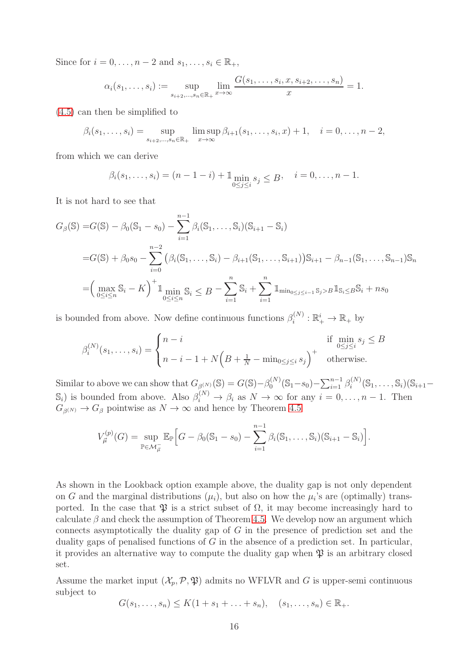Since for  $i = 0, \ldots, n-2$  and  $s_1, \ldots, s_i \in \mathbb{R}_+$ ,

$$
\alpha_i(s_1, ..., s_i) := \sup_{s_{i+2}, ..., s_n \in \mathbb{R}_+} \lim_{x \to \infty} \frac{G(s_1, ..., s_i, x, s_{i+2}, ..., s_n)}{x} = 1.
$$

[\(4.5\)](#page-13-0) can then be simplified to

$$
\beta_i(s_1, ..., s_i) = \sup_{s_{i+2}, ..., s_n \in \mathbb{R}_+} \limsup_{x \to \infty} \beta_{i+1}(s_1, ..., s_i, x) + 1, \quad i = 0, ..., n-2,
$$

from which we can derive

$$
\beta_i(s_1, ..., s_i) = (n - 1 - i) + \mathbb{1} \min_{0 \le j \le i} s_j \le B, \quad i = 0, ..., n - 1.
$$

It is not hard to see that

$$
G_{\beta}(\mathbb{S}) = G(\mathbb{S}) - \beta_0(\mathbb{S}_1 - s_0) - \sum_{i=1}^{n-1} \beta_i(\mathbb{S}_1, \dots, \mathbb{S}_i)(\mathbb{S}_{i+1} - \mathbb{S}_i)
$$
  
=  $G(\mathbb{S}) + \beta_0 s_0 - \sum_{i=0}^{n-2} (\beta_i(\mathbb{S}_1, \dots, \mathbb{S}_i) - \beta_{i+1}(\mathbb{S}_1, \dots, \mathbb{S}_{i+1}))\mathbb{S}_{i+1} - \beta_{n-1}(\mathbb{S}_1, \dots, \mathbb{S}_{n-1})\mathbb{S}_n$   
=  $\left(\max_{0 \le i \le n} \mathbb{S}_i - K\right)^+ 1 \min_{0 \le i \le n} \mathbb{S}_i \le B - \sum_{i=1}^n \mathbb{S}_i + \sum_{i=1}^n 1_{\min_{0 \le j \le i-1} \mathbb{S}_j > B} 1_{\mathbb{S}_i \le B} \mathbb{S}_i + ns_0$ 

is bounded from above. Now define continuous functions  $\beta_i^{(N)}$  $\mathbb{R}_i^{(N)} : \mathbb{R}_+^i \to \mathbb{R}_+$  by

$$
\beta_i^{(N)}(s_1,\ldots,s_i) = \begin{cases} n-i & \text{if } \min_{0 \le j \le i} s_j \le B \\ n-i-1+N\left(B+\frac{1}{N}-\min_{0 \le j \le i} s_j\right)^+ & \text{otherwise.} \end{cases}
$$

Similar to above we can show that  $G_{\beta^{(N)}}(\mathbb{S}) = G(\mathbb{S}) - \beta_0^{(N)}$  $\mathcal{O}_0^{(N)}(\mathbb{S}_1 - s_0) - \sum_{i=1}^{n-1} \beta_i^{(N)}$  $S_i^{(N)}(\mathbb{S}_1,\ldots,\mathbb{S}_i)(\mathbb{S}_{i+1} (\mathbb{S}_i)$  is bounded from above. Also  $\beta_i^{(N)} \to \beta_i$  as  $N \to \infty$  for any  $i = 0, \ldots, n - 1$ . Then  $G_{\beta(N)} \to G_{\beta}$  pointwise as  $N \to \infty$  and hence by Theorem [4.5](#page-13-1)

$$
V_{\vec{\mu}}^{(p)}(G) = \sup_{\mathbb{P} \in \mathcal{M}_{\vec{\mu}}} \mathbb{E}_{\mathbb{P}} \Big[ G - \beta_0 (\mathbb{S}_1 - s_0) - \sum_{i=1}^{n-1} \beta_i (\mathbb{S}_1, \dots, \mathbb{S}_i) (\mathbb{S}_{i+1} - \mathbb{S}_i) \Big].
$$

As shown in the Lookback option example above, the duality gap is not only dependent on G and the marginal distributions  $(\mu_i)$ , but also on how the  $\mu_i$ 's are (optimally) transported. In the case that  $\mathfrak P$  is a strict subset of  $\Omega$ , it may become increasingly hard to calculate  $\beta$  and check the assumption of Theorem [4.5.](#page-13-1) We develop now an argument which connects asymptotically the duality gap of G in the presence of prediction set and the duality gaps of penalised functions of  $G$  in the absence of a prediction set. In particular, it provides an alternative way to compute the duality gap when  $\mathfrak P$  is an arbitrary closed set.

Assume the market input  $(\mathcal{X}_p, \mathcal{P}, \mathfrak{P})$  admits no WFLVR and G is upper-semi continuous subject to

$$
G(s_1,...,s_n) \le K(1+s_1+...+s_n), \quad (s_1,...,s_n) \in \mathbb{R}_+.
$$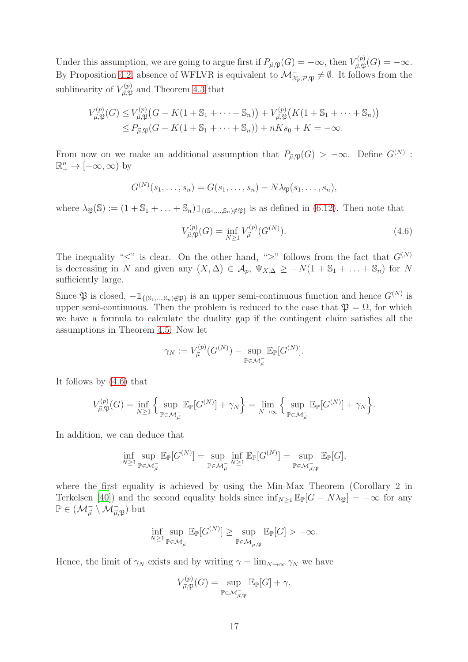Under this assumption, we are going to argue first if  $P_{\vec{\mu},\mathfrak{P}}(G) = -\infty$ , then  $V_{\vec{\mu},\mathfrak{P}}^{(p)}$  $_{\vec{\mu},\mathfrak{P}}^{L^{(p)}}(G)=-\infty.$ By Proposition [4.2,](#page-10-1) absence of WFLVR is equivalent to  $\mathcal{M}_{\chi_p, \mathcal{P}, \mathfrak{P}}^-\neq \emptyset$ . It follows from the sublinearity of  $V_{\vec{n},\mathfrak{N}}^{(p)}$  $\mu_{\vec{\mu},\mathfrak{P}}^{(p)}$  and Theorem [4.3](#page-11-2) that

$$
V_{\vec{\mu}, \mathfrak{P}}^{(p)}(G) \leq V_{\vec{\mu}, \mathfrak{P}}^{(p)}(G - K(1 + S_1 + \dots + S_n)) + V_{\vec{\mu}, \mathfrak{P}}^{(p)}(K(1 + S_1 + \dots + S_n))
$$
  
\$\leq P\_{\vec{\mu}, \mathfrak{P}}(G - K(1 + S\_1 + \dots + S\_n)) + nKs\_0 + K = -\infty.

From now on we make an additional assumption that  $P_{\vec{\mu},\mathfrak{P}}(G) > -\infty$ . Define  $G^{(N)}$ :  $\mathbb{R}^n_+ \to [-\infty, \infty)$  by

$$
G^{(N)}(s_1,\ldots,s_n)=G(s_1,\ldots,s_n)-N\lambda_{\mathfrak{P}}(s_1,\ldots,s_n),
$$

where  $\lambda_{\mathfrak{P}}(\mathbb{S}) := (1 + \mathbb{S}_1 + \ldots + \mathbb{S}_n) \mathbb{1}_{\{(\mathbb{S}_1, \ldots, \mathbb{S}_n) \notin \mathfrak{P}\}}$  is as defined in  $(6.12)$ . Then note that

<span id="page-16-0"></span>
$$
V_{\vec{\mu}, \mathfrak{P}}^{(p)}(G) = \inf_{N \ge 1} V_{\vec{\mu}}^{(p)}(G^{(N)}).
$$
\n(4.6)

The inequality " $\leq$ " is clear. On the other hand, " $\geq$ " follows from the fact that  $G^{(N)}$ is decreasing in N and given any  $(X, \Delta) \in \mathcal{A}_p$ ,  $\Psi_{X, \Delta} \geq -N(1 + S_1 + \ldots + S_n)$  for N sufficiently large.

Since  $\mathfrak P$  is closed,  $-\mathbb{1}_{\{(S_1,\ldots,S_n)\notin\mathfrak P\}}$  is an upper semi-continuous function and hence  $G^{(N)}$  is upper semi-continuous. Then the problem is reduced to the case that  $\mathfrak{P} = \Omega$ , for which we have a formula to calculate the duality gap if the contingent claim satisfies all the assumptions in Theorem [4.5.](#page-13-1) Now let

$$
\gamma_N := V_{\vec{\mu}}^{(p)}(G^{(N)}) - \sup_{\mathbb{P} \in \mathcal{M}_{\vec{\mu}}} \mathbb{E}_{\mathbb{P}}[G^{(N)}].
$$

It follows by [\(4.6\)](#page-16-0) that

$$
V_{\vec{\mu}, \mathfrak{P}}^{(p)}(G) = \inf_{N \geq 1} \Big\{ \sup_{\mathbb{P} \in \mathcal{M}_{\vec{\mu}}^-} \mathbb{E}_{\mathbb{P}}[G^{(N)}] + \gamma_N \Big\} = \lim_{N \to \infty} \Big\{ \sup_{\mathbb{P} \in \mathcal{M}_{\vec{\mu}}^-} \mathbb{E}_{\mathbb{P}}[G^{(N)}] + \gamma_N \Big\}.
$$

In addition, we can deduce that

$$
\inf_{N\geq 1}\sup_{\mathbb{P}\in \mathcal{M}^-_{\vec{\mu}}}\mathbb{E}_{\mathbb{P}}[G^{(N)}]=\sup_{\mathbb{P}\in \mathcal{M}^-_{\vec{\mu}}}\inf_{N\geq 1}\mathbb{E}_{\mathbb{P}}[G^{(N)}]=\sup_{\mathbb{P}\in \mathcal{M}^-_{\vec{\mu},\mathfrak{P}}}\mathbb{E}_{\mathbb{P}}[G],
$$

where the first equality is achieved by using the Min-Max Theorem (Corollary 2 in Terkelsen [\[40](#page-31-12)]) and the second equality holds since  $\inf_{N\geq 1} \mathbb{E}_{\mathbb{P}}[G - N\lambda_{\mathfrak{P}}] = -\infty$  for any  $\mathbb{P} \in (\mathcal{M}_{\vec{\mu}}^- \setminus \mathcal{M}_{\vec{\mu}, \mathfrak{P}}^-)$  but

$$
\inf_{N\geq 1}\sup_{\mathbb{P}\in \mathcal{M}_{\overline{\mu}}^-} \mathbb{E}_{\mathbb{P}}[G^{(N)}] \geq \sup_{\mathbb{P}\in \mathcal{M}_{\overline{\mu},\mathfrak{P}}^-} \mathbb{E}_{\mathbb{P}}[G] > -\infty.
$$

Hence, the limit of  $\gamma_N$  exists and by writing  $\gamma = \lim_{N \to \infty} \gamma_N$  we have

$$
V_{\vec{\mu}, \mathfrak{P}}^{(p)}(G) = \sup_{\mathbb{P} \in \mathcal{M}_{\vec{\mu}, \mathfrak{P}}} \mathbb{E}_{\mathbb{P}}[G] + \gamma.
$$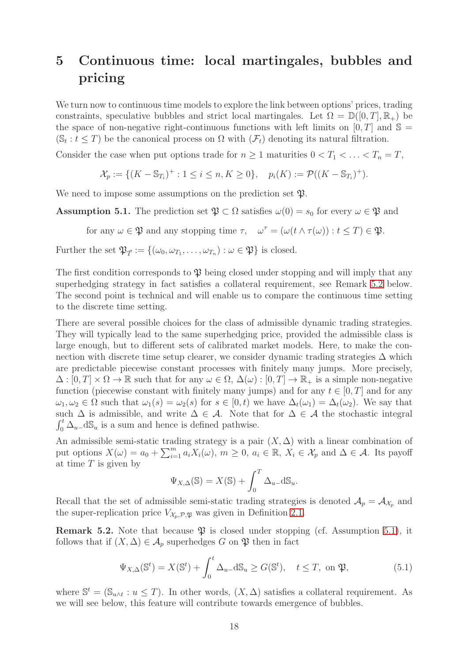# <span id="page-17-0"></span>5 Continuous time: local martingales, bubbles and pricing

We turn now to continuous time models to explore the link between options' prices, trading constraints, speculative bubbles and strict local martingales. Let  $\Omega = \mathbb{D}([0,T], \mathbb{R}_+)$  be the space of non-negative right-continuous functions with left limits on  $[0, T]$  and  $\mathbb{S} =$  $(\mathbb{S}_t : t \leq T)$  be the canonical process on  $\Omega$  with  $(\mathcal{F}_t)$  denoting its natural filtration.

Consider the case when put options trade for  $n \geq 1$  maturities  $0 < T_1 < \ldots < T_n = T$ ,

$$
\mathcal{X}_p := \{ (K - S_{T_i})^+ : 1 \le i \le n, K \ge 0 \}, \quad p_i(K) := \mathcal{P}((K - S_{T_i})^+).
$$

We need to impose some assumptions on the prediction set  $\mathfrak{P}$ .

<span id="page-17-2"></span>Assumption 5.1. The prediction set  $\mathfrak{P} \subset \Omega$  satisfies  $\omega(0) = s_0$  for every  $\omega \in \mathfrak{P}$  and

for any  $\omega \in \mathfrak{P}$  and any stopping time  $\tau$ ,  $\omega^{\tau} = (\omega(t \wedge \tau(\omega)) : t \leq T) \in \mathfrak{P}$ .

Further the set  $\mathfrak{P}_{\vec{T}} := \{(\omega_0, \omega_{T_1}, \dots, \omega_{T_n}) : \omega \in \mathfrak{P}\}\)$  is closed.

The first condition corresponds to  $\mathfrak V$  being closed under stopping and will imply that any superhedging strategy in fact satisfies a collateral requirement, see Remark [5.2](#page-17-1) below. The second point is technical and will enable us to compare the continuous time setting to the discrete time setting.

There are several possible choices for the class of admissible dynamic trading strategies. They will typically lead to the same superhedging price, provided the admissible class is large enough, but to different sets of calibrated market models. Here, to make the connection with discrete time setup clearer, we consider dynamic trading strategies  $\Delta$  which are predictable piecewise constant processes with finitely many jumps. More precisely,  $\Delta : [0, T] \times \Omega \to \mathbb{R}$  such that for any  $\omega \in \Omega$ ,  $\Delta(\omega) : [0, T] \to \mathbb{R}_+$  is a simple non-negative function (piecewise constant with finitely many jumps) and for any  $t \in [0, T]$  and for any  $\omega_1, \omega_2 \in \Omega$  such that  $\omega_1(s) = \omega_2(s)$  for  $s \in [0, t)$  we have  $\Delta_t(\omega_1) = \Delta_t(\omega_2)$ . We say that such  $\Delta$  is admissible, and write  $\Delta \in \mathcal{A}$ . Note that for  $\Delta \in \mathcal{A}$  the stochastic integral  $\int_0^t \Delta_u$ -d $\mathbb{S}_u$  is a sum and hence is defined pathwise.

An admissible semi-static trading strategy is a pair  $(X, \Delta)$  with a linear combination of put options  $X(\omega) = a_0 + \sum_{i=1}^m a_i X_i(\omega), m \ge 0, a_i \in \mathbb{R}, X_i \in \mathcal{X}_p$  and  $\Delta \in \mathcal{A}$ . Its payoff at time  $T$  is given by

$$
\Psi_{X,\Delta}(\mathbb{S}) = X(\mathbb{S}) + \int_0^T \Delta_{u-\Delta} \mathbb{S}_u.
$$

Recall that the set of admissible semi-static trading strategies is denoted  $A_p = A_{\mathcal{X}_p}$  and the super-replication price  $V_{\mathcal{X}_p, \mathcal{P}, \mathfrak{P}}$  was given in Definition [2.1.](#page-5-0)

<span id="page-17-1"></span>**Remark 5.2.** Note that because  $\mathfrak{P}$  is closed under stopping (cf. Assumption [5.1\)](#page-17-2), it follows that if  $(X, \Delta) \in \mathcal{A}_p$  superhedges G on  $\mathfrak{P}$  then in fact

<span id="page-17-3"></span>
$$
\Psi_{X,\Delta}(\mathbb{S}^t) = X(\mathbb{S}^t) + \int_0^t \Delta_{u-\Delta} \mathbb{S}_u \ge G(\mathbb{S}^t), \quad t \le T, \text{ on } \mathfrak{P}, \tag{5.1}
$$

where  $\mathbb{S}^t = (\mathbb{S}_{u \wedge t} : u \leq T)$ . In other words,  $(X, \Delta)$  satisfies a collateral requirement. As we will see below, this feature will contribute towards emergence of bubbles.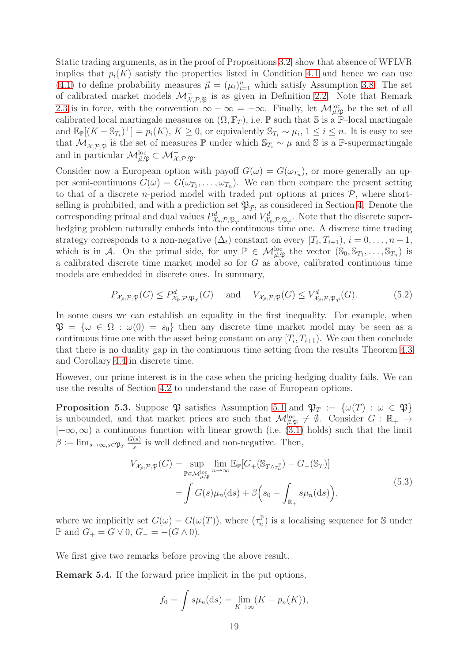Static trading arguments, as in the proof of Propositions [3.2,](#page-7-2) show that absence of WFLVR implies that  $p_i(K)$  satisfy the properties listed in Condition [4.1](#page-10-2) and hence we can use [\(4.1\)](#page-10-3) to define probability measures  $\vec{\mu} = (\mu_i)_{i=1}^n$  which satisfy Assumption [3.8.](#page-9-0) The set of calibrated market models  $\mathcal{M}_{\mathcal{X},\mathcal{P},\mathfrak{P}}^-$  is as given in Definition [2.2.](#page-6-5) Note that Remark [2.3](#page-6-3) is in force, with the convention  $\infty - \infty = -\infty$ . Finally, let  $\mathcal{M}_{\vec{\mu},\vec{\mathfrak{P}}}^{\text{loc}}$  be the set of all calibrated local martingale measures on  $(\Omega, \mathbb{F}_T)$ , i.e. P such that S is a P–local martingale and  $\mathbb{E}_{\mathbb{P}}[(K - \mathbb{S}_{T_i})^+] = p_i(K), K \geq 0$ , or equivalently  $\mathbb{S}_{T_i} \sim \mu_i, 1 \leq i \leq n$ . It is easy to see that  $\mathcal{M}_{\mathcal{X},\mathcal{P},\mathfrak{P}}$  is the set of measures  $\mathbb P$  under which  $\mathbb{S}_{T_i} \sim \mu$  and S is a  $\mathbb P$ -supermartingale and in particular  $\mathcal{M}_{\vec{\mu}, \mathfrak{P}}^{\text{loc}} \subset \mathcal{M}_{\mathcal{X}, \mathcal{P}, \mathfrak{P}}^{\mathcal{I}}$ .

Consider now a European option with payoff  $G(\omega) = G(\omega_{T_n})$ , or more generally an upper semi-continuous  $G(\omega) = G(\omega_{T_1}, \dots, \omega_{T_n})$ . We can then compare the present setting to that of a discrete *n*-period model with traded put options at prices  $P$ , where shortselling is prohibited, and with a prediction set  $\mathfrak{P}_{\vec{\tau}}$ , as considered in Section [4.](#page-10-0) Denote the corresponding primal and dual values  $P^d_{\mathcal{X}_p, \mathcal{P}, \mathfrak{P}_{\vec{T}}}$  and  $V^d_{\mathcal{X}_p, \mathcal{P}, \mathfrak{P}_{\vec{T}}}$ . Note that the discrete superhedging problem naturally embeds into the continuous time one. A discrete time trading strategy corresponds to a non-negative  $(\Delta_t)$  constant on every  $[T_i, T_{i+1}], i = 0, \ldots, n-1$ , which is in A. On the primal side, for any  $\mathbb{P} \in \mathcal{M}_{\vec{\mu}, \mathfrak{P}}^{\text{loc}}$  the vector  $(\mathbb{S}_0, \mathbb{S}_{T_1}, \ldots, \mathbb{S}_{T_n})$  is a calibrated discrete time market model so for G as above, calibrated continuous time models are embedded in discrete ones. In summary,

$$
P_{\mathcal{X}_p, \mathcal{P}, \mathfrak{P}}(G) \le P^d_{\mathcal{X}_p, \mathcal{P}, \mathfrak{P}_{\vec{T}}}(G) \quad \text{and} \quad V_{\mathcal{X}_p, \mathcal{P}, \mathfrak{P}}(G) \le V^d_{\mathcal{X}_p, \mathcal{P}, \mathfrak{P}_{\vec{T}}}(G). \tag{5.2}
$$

In some cases we can establish an equality in the first inequality. For example, when  $\mathfrak{P} = {\omega \in \Omega : \omega(0) = s_0}$  then any discrete time market model may be seen as a continuous time one with the asset being constant on any  $[T_i, T_{i+1})$ . We can then conclude that there is no duality gap in the continuous time setting from the results Theorem [4.3](#page-11-2) and Corollary [4.4](#page-11-3) in discrete time.

However, our prime interest is in the case when the pricing-hedging duality fails. We can use the results of Section [4.2](#page-11-0) to understand the case of European options.

<span id="page-18-0"></span>**Proposition 5.3.** Suppose  $\mathfrak{P}$  satisfies Assumption [5.1](#page-17-2) and  $\mathfrak{P}_T := {\omega(T) : \omega \in \mathfrak{P}}$ is unbounded, and that market prices are such that  $\mathcal{M}_{\vec{\mu}, \mathfrak{P}}^{\text{loc}} \neq \emptyset$ . Consider  $G : \mathbb{R}_+ \to$  $[-\infty, \infty)$  a continuous function with linear growth (i.e.  $(3.1)$  holds) such that the limit  $\beta := \lim_{s \to \infty, s \in \mathfrak{P}_T} \frac{G(s)}{s}$  $\frac{(s)}{s}$  is well defined and non-negative. Then,

$$
V_{\mathcal{X}_p, \mathcal{P}, \mathfrak{P}}(G) = \sup_{\mathbb{P} \in \mathcal{M}_{\mu, \mathfrak{P}}^{\text{loc}}} \lim_{n \to \infty} \mathbb{E}_{\mathbb{P}}[G_+(\mathbb{S}_{T \wedge \tau_n^{\mathbb{P}}}) - G_-(\mathbb{S}_T)]
$$
  
= 
$$
\int G(s) \mu_n(\mathrm{d}s) + \beta \left(s_0 - \int_{\mathbb{R}_+} s \mu_n(\mathrm{d}s)\right),
$$
 (5.3)

where we implicitly set  $G(\omega) = G(\omega(T))$ , where  $(\tau_n^{\mathbb{P}})$  is a localising sequence for S under **P** and  $G_+ = G ∨ 0$ ,  $G_- = -(G ∧ 0)$ .

We first give two remarks before proving the above result.

Remark 5.4. If the forward price implicit in the put options,

$$
f_0 = \int s\mu_n(\mathrm{d}s) = \lim_{K \to \infty} (K - p_n(K)),
$$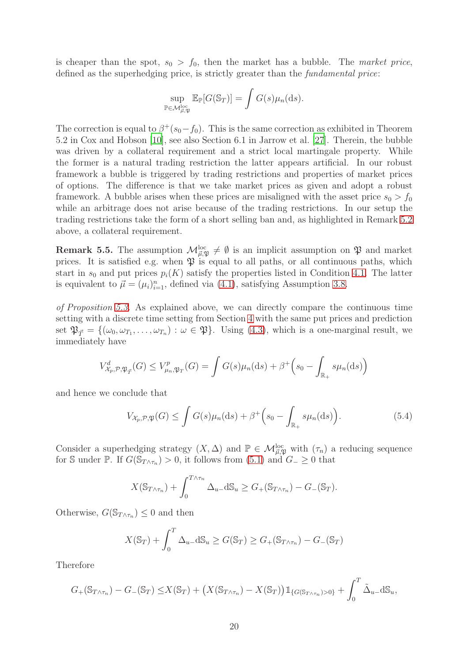is cheaper than the spot,  $s_0 > f_0$ , then the market has a bubble. The *market price*, defined as the superhedging price, is strictly greater than the *fundamental price*:

$$
\sup_{\mathbb{P}\in\mathcal{M}_{\vec{\mu},\mathfrak{P}}^{\text{loc}}}\mathbb{E}_{\mathbb{P}}[G(\mathbb{S}_T)]=\int G(s)\mu_n(\mathrm{d}s).
$$

The correction is equal to  $\beta^+(s_0-f_0)$ . This is the same correction as exhibited in Theorem 5.2 in Cox and Hobson [\[10](#page-30-6)], see also Section 6.1 in Jarrow et al. [\[27](#page-31-3)]. Therein, the bubble was driven by a collateral requirement and a strict local martingale property. While the former is a natural trading restriction the latter appears artificial. In our robust framework a bubble is triggered by trading restrictions and properties of market prices of options. The difference is that we take market prices as given and adopt a robust framework. A bubble arises when these prices are misaligned with the asset price  $s_0 > f_0$ while an arbitrage does not arise because of the trading restrictions. In our setup the trading restrictions take the form of a short selling ban and, as highlighted in Remark [5.2](#page-17-1) above, a collateral requirement.

**Remark 5.5.** The assumption  $\mathcal{M}_{\vec{\mu},\mathfrak{P}}^{\text{loc}} \neq \emptyset$  is an implicit assumption on  $\mathfrak{P}$  and market prices. It is satisfied e.g. when  $\mathfrak P$  is equal to all paths, or all continuous paths, which start in  $s_0$  and put prices  $p_i(K)$  satisfy the properties listed in Condition [4.1.](#page-10-2) The latter is equivalent to  $\vec{\mu} = (\mu_i)_{i=1}^n$ , defined via [\(4.1\)](#page-10-3), satisfying Assumption [3.8.](#page-9-0)

*of Proposition [5.3.](#page-18-0)* As explained above, we can directly compare the continuous time setting with a discrete time setting from Section [4](#page-10-0) with the same put prices and prediction set  $\mathfrak{P}_{\vec{T}} = \{(\omega_0, \omega_{T_1}, \dots, \omega_{T_n}) : \omega \in \mathfrak{P}\}\.$  Using [\(4.3\)](#page-12-0), which is a one-marginal result, we immediately have

$$
V_{\mathcal{X}_p, \mathcal{P}, \mathfrak{P}_{\vec{T}}}(G) \le V_{\mu_n, \mathfrak{P}_T}^p(G) = \int G(s)\mu_n(\mathrm{d}s) + \beta^+ \Big(s_0 - \int_{\mathbb{R}_+} s\mu_n(\mathrm{d}s)\Big)
$$

and hence we conclude that

<span id="page-19-0"></span>
$$
V_{\mathcal{X}_p, \mathcal{P}, \mathfrak{P}}(G) \le \int G(s) \mu_n(\mathrm{d}s) + \beta^+ \Big(s_0 - \int_{\mathbb{R}_+} s \mu_n(\mathrm{d}s)\Big). \tag{5.4}
$$

Consider a superhedging strategy  $(X, \Delta)$  and  $\mathbb{P} \in \mathcal{M}_{\vec{\mu}, \mathfrak{P}}^{\text{loc}}$  with  $(\tau_n)$  a reducing sequence for S under P. If  $G(\mathbb{S}_{T \wedge \tau_n}) > 0$ , it follows from  $(5.1)$  and  $G_{-} \geq 0$  that

$$
X(\mathbb{S}_{T\wedge\tau_n}) + \int_0^{T\wedge\tau_n} \Delta_{u-}d\mathbb{S}_u \ge G_+(\mathbb{S}_{T\wedge\tau_n}) - G_-(\mathbb{S}_T).
$$

Otherwise,  $G(\mathbb{S}_{T \wedge \tau_n}) \leq 0$  and then

$$
X(\mathbb{S}_T) + \int_0^T \Delta_{u-} d\mathbb{S}_u \ge G(\mathbb{S}_T) \ge G_+(\mathbb{S}_{T \wedge \tau_n}) - G_-(\mathbb{S}_T)
$$

Therefore

$$
G_{+}(\mathbb{S}_{T\wedge\tau_{n}})-G_{-}(\mathbb{S}_{T})\leq X(\mathbb{S}_{T})+\left(X(\mathbb{S}_{T\wedge\tau_{n}})-X(\mathbb{S}_{T})\right)\mathbb{1}_{\{G(\mathbb{S}_{T\wedge\tau_{n}})>0\}}+\int_{0}^{T}\tilde{\Delta}_{u}d\mathbb{S}_{u},
$$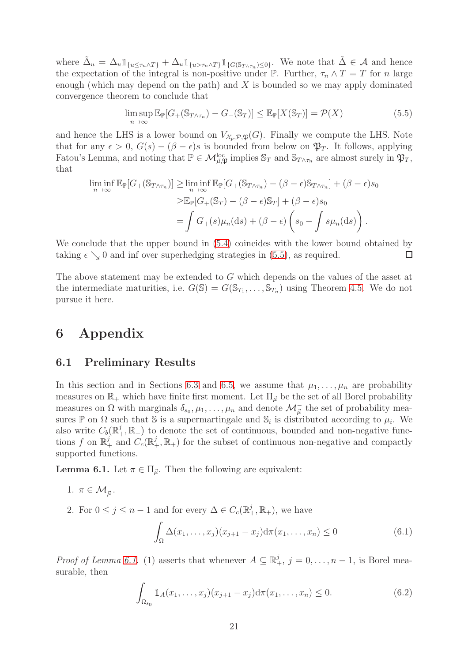where  $\tilde{\Delta}_u = \Delta_u \mathbb{1}_{\{u \leq \tau_n \wedge T\}} + \Delta_u \mathbb{1}_{\{u > \tau_n \wedge T\}} \mathbb{1}_{\{G(\mathbb{S}_{T \wedge \tau_n}) \leq 0\}}$ . We note that  $\tilde{\Delta} \in \mathcal{A}$  and hence the expectation of the integral is non-positive under  $\mathbb P$ . Further,  $\tau_n \wedge T = T$  for n large enough (which may depend on the path) and  $X$  is bounded so we may apply dominated convergence theorem to conclude that

<span id="page-20-0"></span>
$$
\limsup_{n \to \infty} \mathbb{E}_{\mathbb{P}}[G_{+}(\mathbb{S}_{T \wedge \tau_{n}}) - G_{-}(\mathbb{S}_{T})] \leq \mathbb{E}_{\mathbb{P}}[X(\mathbb{S}_{T})] = \mathcal{P}(X)
$$
\n(5.5)

and hence the LHS is a lower bound on  $V_{\mathcal{X}_p,\mathcal{P},\mathfrak{P}}(G)$ . Finally we compute the LHS. Note that for any  $\epsilon > 0$ ,  $G(s) - (\beta - \epsilon)s$  is bounded from below on  $\mathfrak{P}_T$ . It follows, applying Fatou's Lemma, and noting that  $\mathbb{P} \in \mathcal{M}_{\vec{\mu}, \mathfrak{P}}^{\text{loc}}$  implies  $\mathbb{S}_T$  and  $\mathbb{S}_{T \wedge \tau_n}$  are almost surely in  $\mathfrak{P}_T$ , that

$$
\liminf_{n \to \infty} \mathbb{E}_{\mathbb{P}}[G_{+}(\mathbb{S}_{T \wedge \tau_{n}})] \ge \liminf_{n \to \infty} \mathbb{E}_{\mathbb{P}}[G_{+}(\mathbb{S}_{T \wedge \tau_{n}}) - (\beta - \epsilon) \mathbb{S}_{T \wedge \tau_{n}}] + (\beta - \epsilon) s_{0}
$$

$$
\ge \mathbb{E}_{\mathbb{P}}[G_{+}(\mathbb{S}_{T}) - (\beta - \epsilon) \mathbb{S}_{T}] + (\beta - \epsilon) s_{0}
$$

$$
= \int G_{+}(s) \mu_{n}(\mathrm{d}s) + (\beta - \epsilon) \left( s_{0} - \int s \mu_{n}(\mathrm{d}s) \right).
$$

We conclude that the upper bound in [\(5.4\)](#page-19-0) coincides with the lower bound obtained by taking  $\epsilon \searrow 0$  and inf over superhedging strategies in [\(5.5\)](#page-20-0), as required.  $\Box$ 

The above statement may be extended to G which depends on the values of the asset at the intermediate maturities, i.e.  $G(\mathbb{S}) = G(\mathbb{S}_{T_1}, \ldots, \mathbb{S}_{T_n})$  using Theorem [4.5.](#page-13-1) We do not pursue it here.

## 6 Appendix

### 6.1 Preliminary Results

In this section and in Sections [6.3](#page-23-0) and [6.5,](#page-26-0) we assume that  $\mu_1, \ldots, \mu_n$  are probability measures on  $\mathbb{R}_+$  which have finite first moment. Let  $\Pi_{\vec{\mu}}$  be the set of all Borel probability measures on  $\Omega$  with marginals  $\delta_{s_0}, \mu_1, \ldots, \mu_n$  and denote  $\mathcal{M}_{\vec{\mu}}^-$  the set of probability measures  $\mathbb P$  on  $\Omega$  such that  $\mathbb S$  is a supermartingale and  $\mathbb S_i$  is distributed according to  $\mu_i$ . We also write  $C_b(\mathbb{R}^j_+, \mathbb{R}_+)$  to denote the set of continuous, bounded and non-negative functions f on  $\mathbb{R}_+^j$  and  $C_c(\mathbb{R}_+^j, \mathbb{R}_+)$  for the subset of continuous non-negative and compactly supported functions.

<span id="page-20-1"></span>**Lemma 6.1.** Let  $\pi \in \Pi_{\vec{u}}$ . Then the following are equivalent:

- 1.  $\pi \in \mathcal{M}_{\vec{\mu}}^-$ .
- 2. For  $0 \leq j \leq n-1$  and for every  $\Delta \in C_c(\mathbb{R}^j_+,\mathbb{R}_+),$  we have

<span id="page-20-3"></span><span id="page-20-2"></span>
$$
\int_{\Omega} \Delta(x_1, \dots, x_j)(x_{j+1} - x_j) d\pi(x_1, \dots, x_n) \le 0 \tag{6.1}
$$

*Proof of Lemma [6.1.](#page-20-1)* (1) asserts that whenever  $A \subseteq \mathbb{R}^j_+$ ,  $j = 0, \ldots, n-1$ , is Borel measurable, then

$$
\int_{\Omega_{s_0}} 1_{A}(x_1,\ldots,x_j)(x_{j+1}-x_j) d\pi(x_1,\ldots,x_n) \le 0.
$$
 (6.2)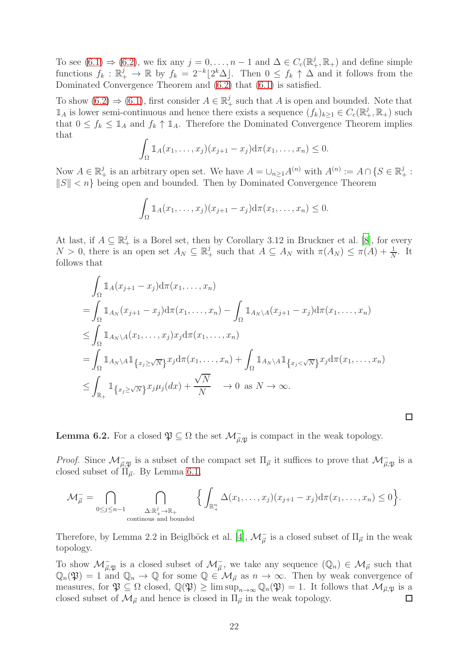To see  $(6.1) \Rightarrow (6.2)$  $(6.1) \Rightarrow (6.2)$ , we fix any  $j = 0, \ldots, n-1$  and  $\Delta \in C_c(\mathbb{R}^j_+, \mathbb{R}_+)$  and define simple functions  $f_k : \mathbb{R}_+^j \to \mathbb{R}$  by  $f_k = 2^{-k} \lfloor 2^k \Delta \rfloor$ . Then  $0 \le f_k \uparrow \Delta$  and it follows from the Dominated Convergence Theorem and [\(6.2\)](#page-20-3) that [\(6.1\)](#page-20-2) is satisfied.

To show  $(6.2) \Rightarrow (6.1)$  $(6.2) \Rightarrow (6.1)$ , first consider  $A \in \mathbb{R}^j_+$  such that A is open and bounded. Note that  $\mathbb{1}_A$  is lower semi-continuous and hence there exists a sequence  $(f_k)_{k\geq 1} \in C_c(\mathbb{R}^j_+,\mathbb{R}_+)$  such that  $0 \le f_k \le 1_A$  and  $f_k \uparrow 1_A$ . Therefore the Dominated Convergence Theorem implies that

$$
\int_{\Omega} \mathbb{1}_A(x_1,\ldots,x_j)(x_{j+1}-x_j) \mathrm{d}\pi(x_1,\ldots,x_n) \leq 0.
$$

Now  $A \in \mathbb{R}_+^j$  is an arbitrary open set. We have  $A = \bigcup_{n \geq 1} A^{(n)}$  with  $A^{(n)} := A \cap \{S \in \mathbb{R}_+^j : S \subseteq \mathbb{R}_+^j\}$  $||S|| < n$  being open and bounded. Then by Dominated Convergence Theorem

$$
\int_{\Omega} \mathbb{1}_A(x_1,\ldots,x_j)(x_{j+1}-x_j) \mathrm{d}\pi(x_1,\ldots,x_n) \leq 0.
$$

At last, if  $A \subseteq \mathbb{R}^j_+$  is a Borel set, then by Corollary 3.12 in Bruckner et al. [\[8\]](#page-29-8), for every  $N > 0$ , there is an open set  $A_N \subseteq \mathbb{R}^j_+$  such that  $A \subseteq A_N$  with  $\pi(A_N) \leq \pi(A) + \frac{1}{N}$ . It follows that

$$
\int_{\Omega} \mathbb{1}_{A}(x_{j+1}-x_{j}) d\pi(x_{1},...,x_{n})
$$
\n
$$
= \int_{\Omega} \mathbb{1}_{A_{N}}(x_{j+1}-x_{j}) d\pi(x_{1},...,x_{n}) - \int_{\Omega} \mathbb{1}_{A_{N}\setminus A}(x_{j+1}-x_{j}) d\pi(x_{1},...,x_{n})
$$
\n
$$
\leq \int_{\Omega} \mathbb{1}_{A_{N}\setminus A}(x_{1},...,x_{j}) x_{j} d\pi(x_{1},...,x_{n})
$$
\n
$$
= \int_{\Omega} \mathbb{1}_{A_{N}\setminus A} \mathbb{1}_{\left\{x_{j}\geq\sqrt{N}\right\}} x_{j} d\pi(x_{1},...,x_{n}) + \int_{\Omega} \mathbb{1}_{A_{N}\setminus A} \mathbb{1}_{\left\{x_{j}<\sqrt{N}\right\}} x_{j} d\pi(x_{1},...,x_{n})
$$
\n
$$
\leq \int_{\mathbb{R}_{+}} \mathbb{1}_{\left\{x_{j}\geq\sqrt{N}\right\}} x_{j} \mu_{j} (dx) + \frac{\sqrt{N}}{N} \to 0 \text{ as } N \to \infty.
$$

<span id="page-21-0"></span>**Lemma 6.2.** For a closed  $\mathfrak{P} \subseteq \Omega$  the set  $\mathcal{M}_{\vec{\mu}, \mathfrak{P}}^-$  is compact in the weak topology.

*Proof.* Since  $\mathcal{M}_{\vec{\mu},\mathfrak{P}}^-$  is a subset of the compact set  $\Pi_{\vec{\mu}}$  it suffices to prove that  $\mathcal{M}_{\vec{\mu},\mathfrak{P}}^-$  is a closed subset of  $\Pi_{\vec{u}}$ . By Lemma [6.1,](#page-20-1)

 $\Box$ 

$$
\mathcal{M}^-_{\vec{\mu}} = \bigcap_{0 \leq j \leq n-1} \bigcap_{\substack{\Delta: \mathbb{R}^j_+ \to \mathbb{R}_+ \\ \text{continuous and bounded}}} \Big\{ \int_{\mathbb{R}^n_+} \Delta(x_1, \dots, x_j)(x_{j+1} - x_j) d\pi(x_1, \dots, x_n) \leq 0 \Big\}.
$$

Therefore, by Lemma 2.2 in Beiglböck et al. [\[4](#page-29-2)],  $\mathcal{M}^-_{\vec{\mu}}$  is a closed subset of  $\Pi_{\vec{\mu}}$  in the weak topology.

To show  $\mathcal{M}_{\vec{\mu},\mathfrak{P}}^-$  is a closed subset of  $\mathcal{M}_{\vec{\mu}}^-$ , we take any sequence  $(\mathbb{Q}_n) \in \mathcal{M}_{\vec{\mu}}$  such that  $\mathbb{Q}_n(\mathfrak{P}) = 1$  and  $\mathbb{Q}_n \to \mathbb{Q}$  for some  $\mathbb{Q} \in \mathcal{M}_{\vec{\mu}}$  as  $n \to \infty$ . Then by weak convergence of measures, for  $\mathfrak{P} \subseteq \Omega$  closed,  $\mathbb{Q}(\mathfrak{P}) \ge \limsup_{n \to \infty} \mathbb{Q}_n(\mathfrak{P}) = 1$ . It follows that  $\mathcal{M}_{\vec{\mu},\mathfrak{P}}$  is a closed subset of  $\mathcal{M}_{\vec{\mu}}$  and hence is closed in  $\Pi_{\vec{\mu}}$  in the weak topology. closed subset of  $\mathcal{M}_{\vec{\mu}}$  and hence is closed in  $\Pi_{\vec{\mu}}$  in the weak topology.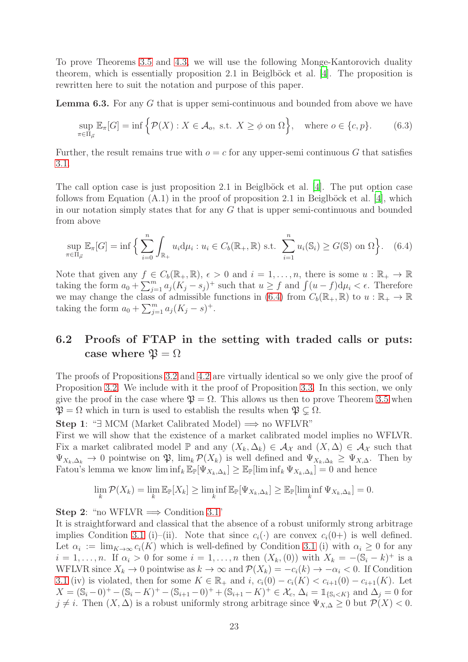To prove Theorems [3.5](#page-8-2) and [4.3,](#page-11-2) we will use the following Monge-Kantorovich duality theorem, which is essentially proposition  $2.1$  in Beiglböck et al. [\[4](#page-29-2)]. The proposition is rewritten here to suit the notation and purpose of this paper.

<span id="page-22-2"></span>Lemma 6.3. For any G that is upper semi-continuous and bounded from above we have

$$
\sup_{\pi \in \Pi_{\vec{\mu}}} \mathbb{E}_{\pi}[G] = \inf \left\{ \mathcal{P}(X) : X \in \mathcal{A}_o, \text{ s.t. } X \ge \phi \text{ on } \Omega \right\}, \text{ where } o \in \{c, p\}. \tag{6.3}
$$

Further, the result remains true with  $o = c$  for any upper-semi continuous G that satisfies [3.1.](#page-8-0)

The call option case is just proposition 2.1 in Beiglböck et al.  $[4]$ . The put option case follows from Equation  $(A.1)$  in the proof of proposition 2.1 in Beiglböck et al. [\[4](#page-29-2)], which in our notation simply states that for any  $G$  that is upper semi-continuous and bounded from above

<span id="page-22-1"></span>
$$
\sup_{\pi \in \Pi_{\vec{\mu}}} \mathbb{E}_{\pi}[G] = \inf \Big\{ \sum_{i=0}^{n} \int_{\mathbb{R}_{+}} u_{i} d\mu_{i} : u_{i} \in C_{b}(\mathbb{R}_{+}, \mathbb{R}) \text{ s.t. } \sum_{i=1}^{n} u_{i}(\mathbb{S}_{i}) \ge G(\mathbb{S}) \text{ on } \Omega \Big\}. \quad (6.4)
$$

Note that given any  $f \in C_b(\mathbb{R}_+, \mathbb{R}), \epsilon > 0$  and  $i = 1, \ldots, n$ , there is some  $u : \mathbb{R}_+ \to \mathbb{R}$ taking the form  $a_0 + \sum_{j=1}^m a_j (K_j - s_j)^+$  such that  $u \ge f$  and  $\int (u - f) d\mu_i < \epsilon$ . Therefore we may change the class of admissible functions in [\(6.4\)](#page-22-1) from  $C_b(\mathbb{R}_+, \mathbb{R})$  to  $u : \mathbb{R}_+ \to \mathbb{R}$ taking the form  $a_0 + \sum_{j=1}^m a_j (K_j - s)^+$ .

## <span id="page-22-0"></span>6.2 Proofs of FTAP in the setting with traded calls or puts: case where  $\mathfrak{P} = \Omega$

The proofs of Propositions [3.2](#page-7-2) and [4.2](#page-10-1) are virtually identical so we only give the proof of Proposition [3.2.](#page-7-2) We include with it the proof of Proposition [3.3.](#page-7-3) In this section, we only give the proof in the case where  $\mathfrak{P} = \Omega$ . This allows us then to prove Theorem [3.5](#page-8-2) when  $\mathfrak{P} = \Omega$  which in turn is used to establish the results when  $\mathfrak{P} \subset \Omega$ .

**Step 1**: " $\exists$  MCM (Market Calibrated Model)  $\implies$  no WFLVR"

First we will show that the existence of a market calibrated model implies no WFLVR. Fix a market calibrated model  $\mathbb P$  and any  $(X_k, \Delta_k) \in \mathcal A_{\mathcal X}$  and  $(X, \Delta) \in \mathcal A_{\mathcal X}$  such that  $\Psi_{X_k,\Delta_k} \to 0$  pointwise on  $\mathfrak{P}, \lim_k \mathcal{P}(X_k)$  is well defined and  $\Psi_{X_k,\Delta_k} \geq \Psi_{X,\Delta}$ . Then by Fatou's lemma we know  $\liminf_k \mathbb{E}_{\mathbb{P}}[\Psi_{X_k,\Delta_k}] \geq \mathbb{E}_{\mathbb{P}}[\liminf_k \Psi_{X_k,\Delta_k}] = 0$  and hence

$$
\lim_{k} \mathcal{P}(X_k) = \lim_{k} \mathbb{E}_{\mathbb{P}}[X_k] \ge \liminf_{k} \mathbb{E}_{\mathbb{P}}[\Psi_{X_k, \Delta_k}] \ge \mathbb{E}_{\mathbb{P}}[\liminf_{k} \Psi_{X_k, \Delta_k}] = 0.
$$

#### Step 2: "no WFLVR  $\Longrightarrow$  Condition [3.1"](#page-7-1)

It is straightforward and classical that the absence of a robust uniformly strong arbitrage implies Condition [3.1](#page-7-1) (i)–(ii). Note that since  $c_i(\cdot)$  are convex  $c_i(0+)$  is well defined. Let  $\alpha_i := \lim_{K \to \infty} c_i(K)$  which is well-defined by Condition [3.1](#page-7-1) (i) with  $\alpha_i \geq 0$  for any  $i = 1, ..., n$ . If  $\alpha_i > 0$  for some  $i = 1, ..., n$  then  $(X_k, (0))$  with  $X_k = -(\mathbb{S}_i - k)^+$  is a WFLVR since  $X_k \to 0$  pointwise as  $k \to \infty$  and  $\mathcal{P}(X_k) = -c_i(k) \to -\alpha_i < 0$ . If Condition [3.1](#page-7-1) (iv) is violated, then for some  $K \in \mathbb{R}_+$  and  $i, c_i(0) - c_i(K) < c_{i+1}(0) - c_{i+1}(K)$ . Let  $X = (\mathbb{S}_i - 0)^+ - (\mathbb{S}_i - K)^+ - (\mathbb{S}_{i+1} - 0)^+ + (\mathbb{S}_{i+1} - K)^+ \in \mathcal{X}_c, \Delta_i = 1_{\{S_i < K\}} \text{ and } \Delta_j = 0 \text{ for } j \in \mathbb{N}$  $j \neq i$ . Then  $(X, \Delta)$  is a robust uniformly strong arbitrage since  $\Psi_{X,\Delta} \geq 0$  but  $\mathcal{P}(X) < 0$ .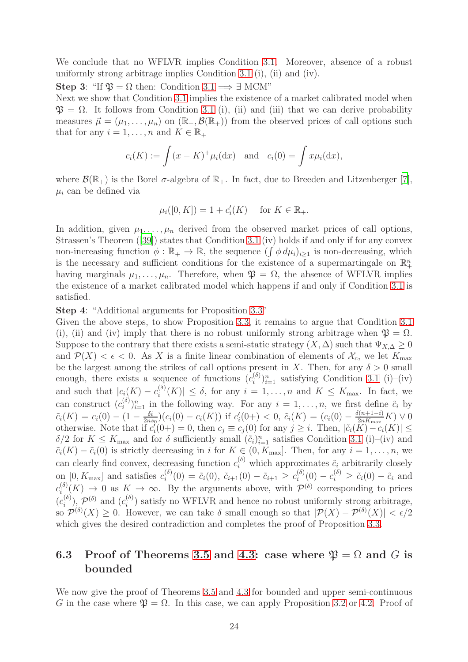We conclude that no WFLVR implies Condition [3.1.](#page-7-1) Moreover, absence of a robust uniformly strong arbitrage implies Condition [3.1](#page-7-1) (i), (ii) and (iv).

Step 3: "If  $\mathfrak{P} = \Omega$  then: Condition [3.1](#page-7-1)  $\implies \exists$  MCM"

Next we show that Condition [3.1](#page-7-1) implies the existence of a market calibrated model when  $\mathfrak{P} = \Omega$ . It follows from Condition [3.1](#page-7-1) (i), (ii) and (iii) that we can derive probability measures  $\vec{\mu} = (\mu_1, \dots, \mu_n)$  on  $(\mathbb{R}_+, \mathcal{B}(\mathbb{R}_+))$  from the observed prices of call options such that for any  $i = 1, \ldots, n$  and  $K \in \mathbb{R}_+$ 

$$
c_i(K) := \int (x - K)^+ \mu_i(\mathrm{d}x) \quad \text{and} \quad c_i(0) = \int x \mu_i(\mathrm{d}x),
$$

where  $\mathcal{B}(\mathbb{R}_+)$  is the Borel  $\sigma$ -algebra of  $\mathbb{R}_+$ . In fact, due to Breeden and Litzenberger [\[7\]](#page-29-1),  $\mu_i$  can be defined via

$$
\mu_i([0, K]) = 1 + c'_i(K)
$$
 for  $K \in \mathbb{R}_+$ .

In addition, given  $\mu_1, \ldots, \mu_n$  derived from the observed market prices of call options, Strassen's Theorem ([\[39\]](#page-31-13)) states that Condition [3.1](#page-7-1) (iv) holds if and only if for any convex non-increasing function  $\phi : \mathbb{R}_+ \to \mathbb{R}$ , the sequence  $(\int \phi \, d\mu_i)_{i \geq 1}$  is non-decreasing, which is the necessary and sufficient conditions for the existence of a supermartingale on  $\mathbb{R}^n_+$ having marginals  $\mu_1, \ldots, \mu_n$ . Therefore, when  $\mathfrak{P} = \Omega$ , the absence of WFLVR implies the existence of a market calibrated model which happens if and only if Condition [3.1](#page-7-1) is satisfied.

Step 4: "Additional arguments for Proposition [3.3"](#page-7-3)

Given the above steps, to show Proposition [3.3,](#page-7-3) it remains to argue that Condition [3.1](#page-7-1) (i), (ii) and (iv) imply that there is no robust uniformly strong arbitrage when  $\mathfrak{P} = \Omega$ . Suppose to the contrary that there exists a semi-static strategy  $(X, \Delta)$  such that  $\Psi_{X, \Delta} \geq 0$ and  $\mathcal{P}(X) < \epsilon < 0$ . As X is a finite linear combination of elements of  $\mathcal{X}_c$ , we let  $K_{\text{max}}$ be the largest among the strikes of call options present in X. Then, for any  $\delta > 0$  small enough, there exists a sequence of functions  $(c_i^{(\delta)})$  $\binom{(\delta)}{i}_i^n$  satisfying Condition [3.1](#page-7-1) (i)–(iv) and such that  $|c_i(K) - c_i^{(\delta)}|$  $\left|\sum_{i=1}^{(0)}(K)\right| \leq \delta$ , for any  $i = 1, \ldots, n$  and  $K \leq K_{\text{max}}$ . In fact, we can construct  $(c_i^{(\delta)})$  $(i)_{i=1}^n$  in the following way. For any  $i=1,\ldots,n$ , we first define  $\tilde{c}_i$  by  $\tilde{c}_i(K) = c_i(0) - (1 - \frac{\delta i}{2ns})$  $\frac{\delta i}{2ns_0}(c_i(0) - c_i(K))$  if  $c'_i(0+) < 0$ ,  $\tilde{c}_i(K) = (c_i(0) - \frac{\delta(n+1-i)}{2n_{\max}}K) \vee 0$ otherwise. Note that if  $c'_i(0+) = 0$ , then  $c_j \equiv c_j(0)$  for any  $j \geq i$ . Then,  $|\tilde{c}_i(K) - c_i(K)| \leq$  $\delta/2$  for  $K \leq K_{\text{max}}$  and for  $\delta$  sufficiently small  $(\tilde{c}_i)_{i=1}^n$  satisfies Condition [3.1](#page-7-1) (i)–(iv) and  $\tilde{c}_i(K) - \tilde{c}_i(0)$  is strictly decreasing in i for  $K \in (0, K_{\text{max}}]$ . Then, for any  $i = 1, \ldots, n$ , we can clearly find convex, decreasing function  $c_i^{(\delta)}$  which approximates  $\tilde{c}_i$  arbitrarily closely on [0,  $K_{\text{max}}$ ] and satisfies  $c_i^{(\delta)}$  $\tilde{c}_i^{(\delta)}(0) = \tilde{c}_i(0), \ \tilde{c}_{i+1}(0) - \tilde{c}_{i+1} \geq c_i^{(\delta)}$  $i^{(\delta)}(0) - c_i^{(\delta)} \geq \tilde{c}_i(0) - \tilde{c}_i$  and  $c_i^{(\delta)}$  $i_{(s)}^{(0)}(K) \to 0$  as  $K \to \infty$ . By the arguments above, with  $\mathcal{P}^{(\delta)}$  corresponding to prices  $(c_i^{(\delta)}$  $\mathcal{P}^{(\delta)}$ ,  $\mathcal{P}^{(\delta)}$  and  $(c_i^{(\delta)})$  $\binom{10}{i}$  satisfy no WFLVR and hence no robust uniformly strong arbitrage, so  $\mathcal{P}^{(\delta)}(X) \geq 0$ . However, we can take  $\delta$  small enough so that  $|\mathcal{P}(X) - \mathcal{P}^{(\delta)}(X)| < \epsilon/2$ which gives the desired contradiction and completes the proof of Proposition [3.3.](#page-7-3)

## <span id="page-23-0"></span>6.3 Proof of Theorems [3.5](#page-8-2) and [4.3:](#page-11-2) case where  $\mathfrak{P} = \Omega$  and G is bounded

We now give the proof of Theorems [3.5](#page-8-2) and [4.3](#page-11-2) for bounded and upper semi-continuous G in the case where  $\mathfrak{P} = \Omega$ . In this case, we can apply Proposition [3.2](#page-7-2) or [4.2.](#page-10-1) Proof of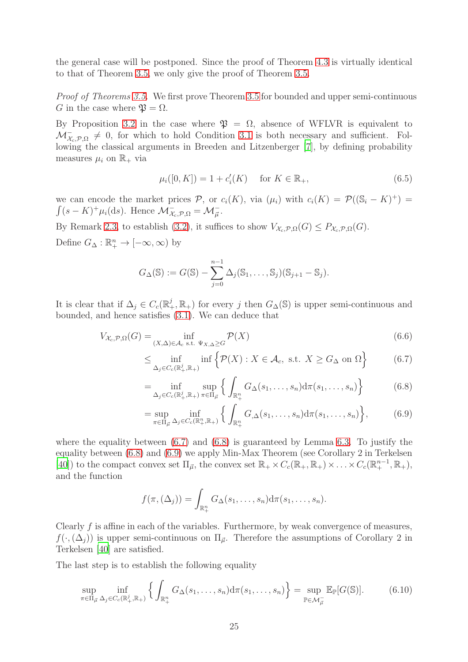the general case will be postponed. Since the proof of Theorem [4.3](#page-11-2) is virtually identical to that of Theorem [3.5,](#page-8-2) we only give the proof of Theorem [3.5.](#page-8-2)

*Proof of Theorems [3.5.](#page-8-2)* We first prove Theorem [3.5](#page-8-2) for bounded and upper semi-continuous G in the case where  $\mathfrak{B} = \Omega$ .

By Proposition [3.2](#page-7-2) in the case where  $\mathfrak{P} = \Omega$ , absence of WFLVR is equivalent to  $\mathcal{M}_{\mathcal{X}_{c},\mathcal{P},\Omega}^{-} \neq 0$ , for which to hold Condition [3.1](#page-7-1) is both necessary and sufficient. Following the classical arguments in Breeden and Litzenberger [\[7\]](#page-29-1), by defining probability measures  $\mu_i$  on  $\mathbb{R}_+$  via

$$
\mu_i([0, K]) = 1 + c'_i(K) \quad \text{for } K \in \mathbb{R}_+, \tag{6.5}
$$

we can encode the market prices  $P$ , or  $c_i(K)$ , via  $(\mu_i)$  with  $c_i(K) = P((\mathbb{S}_i - K)^+) =$  $\int (s - K)^+ \mu_i(\mathrm{d}s)$ . Hence  $\mathcal{M}_{\mathcal{X}_c, \mathcal{P}, \Omega}^- = \mathcal{M}_{\overline{\mu}}^-$ .

By Remark [2.3,](#page-6-3) to establish [\(3.2\)](#page-8-1), it suffices to show  $V_{\mathcal{X}_{c},\mathcal{P},\Omega}(G) \leq P_{\mathcal{X}_{c},\mathcal{P},\Omega}(G)$ . Define  $G_{\Delta}: \mathbb{R}^n_+ \to [-\infty, \infty)$  by

$$
G_{\Delta}(\mathbb{S}) := G(\mathbb{S}) - \sum_{j=0}^{n-1} \Delta_j(\mathbb{S}_1, ..., \mathbb{S}_j)(\mathbb{S}_{j+1} - \mathbb{S}_j).
$$

It is clear that if  $\Delta_j \in C_c(\mathbb{R}^j_+, \mathbb{R}_+)$  for every j then  $G_{\Delta}(\mathbb{S})$  is upper semi-continuous and bounded, and hence satisfies [\(3.1\)](#page-8-0). We can deduce that

$$
V_{\mathcal{X}_c, \mathcal{P}, \Omega}(G) = \inf_{(X, \Delta) \in \mathcal{A}_c \text{ s.t. } \Psi_{X, \Delta} \ge G} \mathcal{P}(X)
$$
(6.6)

<span id="page-24-0"></span>
$$
\leq \inf_{\Delta_j \in C_c(\mathbb{R}_+^j, \mathbb{R}_+)} \inf \left\{ \mathcal{P}(X) : X \in \mathcal{A}_c, \text{ s.t. } X \geq G_\Delta \text{ on } \Omega \right\} \tag{6.7}
$$

<span id="page-24-1"></span>
$$
= \inf_{\Delta_j \in C_c(\mathbb{R}_+^j, \mathbb{R}_+)} \sup_{\pi \in \Pi_{\vec{\mu}}} \left\{ \int_{\mathbb{R}_+^n} G_{\Delta}(s_1, \dots, s_n) d\pi(s_1, \dots, s_n) \right\} \tag{6.8}
$$

<span id="page-24-2"></span>
$$
= \sup_{\pi \in \Pi_{\vec{\mu}}} \inf_{\Delta_j \in C_c(\mathbb{R}_+^n, \mathbb{R}_+)} \left\{ \int_{\mathbb{R}_+^n} G_{,\Delta}(s_1, \dots, s_n) d\pi(s_1, \dots, s_n) \right\},\tag{6.9}
$$

where the equality between [\(6.7\)](#page-24-0) and [\(6.8\)](#page-24-1) is guaranteed by Lemma [6.3.](#page-22-2) To justify the equality between [\(6.8\)](#page-24-1) and [\(6.9\)](#page-24-2) we apply Min-Max Theorem (see Corollary 2 in Terkelsen [\[40\]](#page-31-12)) to the compact convex set  $\Pi_{\vec{\mu}}$ , the convex set  $\mathbb{R}_+ \times C_c(\mathbb{R}_+, \mathbb{R}_+) \times \ldots \times C_c(\mathbb{R}_+^{n-1}, \mathbb{R}_+),$ and the function

<span id="page-24-3"></span>
$$
f(\pi,(\Delta_j))=\int_{\mathbb{R}^n_+}G_{\Delta}(s_1,\ldots,s_n)d\pi(s_1,\ldots,s_n).
$$

Clearly f is affine in each of the variables. Furthermore, by weak convergence of measures,  $f(\cdot,(\Delta_i))$  is upper semi-continuous on  $\Pi_{\vec{\mu}}$ . Therefore the assumptions of Corollary 2 in Terkelsen [\[40\]](#page-31-12) are satisfied.

The last step is to establish the following equality

$$
\sup_{\pi \in \Pi_{\vec{\mu}}} \inf_{\Delta_j \in C_c(\mathbb{R}_+^j, \mathbb{R}_+)} \left\{ \int_{\mathbb{R}_+^n} G_{\Delta}(s_1, \dots, s_n) d\pi(s_1, \dots, s_n) \right\} = \sup_{\mathbb{P} \in \mathcal{M}_{\vec{\mu}}} \mathbb{E}_{\mathbb{P}}[G(\mathbb{S})]. \tag{6.10}
$$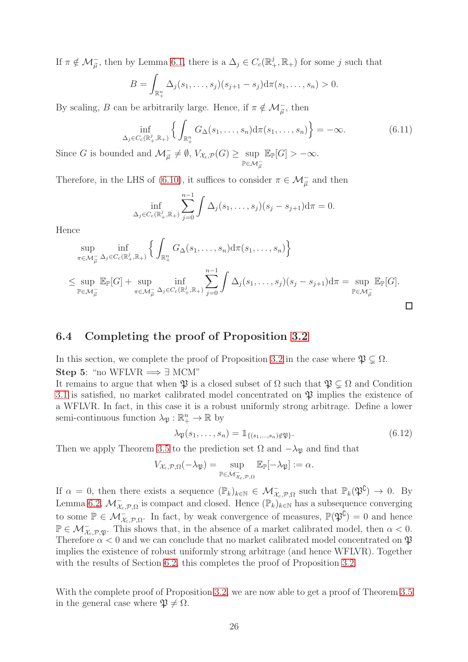If  $\pi \notin \mathcal{M}_{\vec{\mu}}$ , then by Lemma [6.1,](#page-20-1) there is a  $\Delta_j \in C_c(\mathbb{R}_+^j, \mathbb{R}_+)$  for some j such that

$$
B = \int_{\mathbb{R}^n_+} \Delta_j(s_1,\ldots,s_j)(s_{j+1} - s_j) d\pi(s_1,\ldots,s_n) > 0.
$$

By scaling, B can be arbitrarily large. Hence, if  $\pi \notin \mathcal{M}_{\vec{\mu}}$ , then

$$
\inf_{\Delta_j \in C_c(\mathbb{R}_+^j, \mathbb{R}_+)} \left\{ \int_{\mathbb{R}_+^n} G_{\Delta}(s_1, \dots, s_n) d\pi(s_1, \dots, s_n) \right\} = -\infty.
$$
\n(6.11)

Since G is bounded and  $\mathcal{M}_{\vec{\mu}} \neq \emptyset$ ,  $V_{\mathcal{X}_c,\mathcal{P}}(G) \geq \sup$  $\mathbb{P} \in \mathcal{M}^-_{\vec{\mu}}$  $\mathbb{E}_{\mathbb{P}}[G] > -\infty.$ 

Therefore, in the LHS of [\(6.10\)](#page-24-3), it suffices to consider  $\pi \in \mathcal{M}_{\vec{\mu}}^-$  and then

$$
\inf_{\Delta_j \in C_c(\mathbb{R}^j_+, \mathbb{R}_+)} \sum_{j=0}^{n-1} \int \Delta_j(s_1, \dots, s_j)(s_j - s_{j+1}) d\pi = 0.
$$

Hence

$$
\sup_{\pi \in \mathcal{M}_{\vec{\mu}}} \inf_{\Delta_j \in C_c(\mathbb{R}_+^j, \mathbb{R}_+)} \left\{ \int_{\mathbb{R}_+^n} G_{\Delta}(s_1, \dots, s_n) d\pi(s_1, \dots, s_n) \right\}
$$
\n
$$
\leq \sup_{\mathbb{P} \in \mathcal{M}_{\vec{\mu}}} \mathbb{E}_{\mathbb{P}}[G] + \sup_{\pi \in \mathcal{M}_{\vec{\mu}}} \inf_{\Delta_j \in C_c(\mathbb{R}_+^j, \mathbb{R}_+)} \sum_{j=0}^{n-1} \int \Delta_j(s_1, \dots, s_j)(s_j - s_{j+1}) d\pi = \sup_{\mathbb{P} \in \mathcal{M}_{\vec{\mu}}} \mathbb{E}_{\mathbb{P}}[G].
$$

### <span id="page-25-0"></span>6.4 Completing the proof of Proposition [3.2](#page-7-2)

In this section, we complete the proof of Proposition [3.2](#page-7-2) in the case where  $\mathfrak{P} \subsetneq \Omega$ . Step 5: "no WFLVR  $\Longrightarrow \exists$  MCM"

It remains to argue that when  $\mathfrak{P}$  is a closed subset of  $\Omega$  such that  $\mathfrak{P} \subset \Omega$  and Condition [3.1](#page-7-1) is satisfied, no market calibrated model concentrated on  $\mathfrak P$  implies the existence of a WFLVR. In fact, in this case it is a robust uniformly strong arbitrage. Define a lower semi-continuous function  $\lambda_{\mathfrak{P}} : \mathbb{R}^n_+ \to \mathbb{R}$  by

<span id="page-25-1"></span>
$$
\lambda_{\mathfrak{P}}(s_1,\ldots,s_n) = \mathbb{1}_{\{(s_1,\ldots,s_n)\notin \mathfrak{P}\}}.\tag{6.12}
$$

Then we apply Theorem [3.5](#page-8-2) to the prediction set  $\Omega$  and  $-\lambda_{\mathfrak{P}}$  and find that

$$
V_{\mathcal{X}_c,\mathcal{P},\Omega}(-\lambda_{\mathfrak{P}})=\sup_{\mathbb{P}\in \mathcal{M}_{\mathcal{X}_c,\mathcal{P},\Omega}}\mathbb{E}_{\mathbb{P}}[-\lambda_{\mathfrak{P}}]:=\alpha.
$$

If  $\alpha = 0$ , then there exists a sequence  $(\mathbb{P}_k)_{k \in \mathbb{N}} \in \mathcal{M}_{\mathcal{X}_c, \mathcal{P}, \Omega}^-$  such that  $\mathbb{P}_k(\mathfrak{P}^{\complement}) \to 0$ . By Lemma [6.2,](#page-21-0)  $\mathcal{M}_{\mathcal{X}_c,\mathcal{P},\Omega}$  is compact and closed. Hence  $(\mathbb{P}_k)_{k\in\mathbb{N}}$  has a subsequence converging to some  $\mathbb{P} \in \mathcal{M}_{\mathcal{X}_c, \mathcal{P}, \Omega}$ . In fact, by weak convergence of measures,  $\mathbb{P}(\mathfrak{P}^{\complement}) = 0$  and hence  $\mathbb{P} \in \mathcal{M}_{\chi_c, \mathcal{P}, \mathfrak{P}}$ . This shows that, in the absence of a market calibrated model, then  $\alpha < 0$ . Therefore  $\alpha < 0$  and we can conclude that no market calibrated model concentrated on  $\mathfrak{P}$ implies the existence of robust uniformly strong arbitrage (and hence WFLVR). Together with the results of Section [6.2,](#page-22-0) this completes the proof of Proposition [3.2.](#page-7-2)

With the complete proof of Proposition [3.2,](#page-7-2) we are now able to get a proof of Theorem [3.5](#page-8-2) in the general case where  $\mathfrak{P} \neq \Omega$ .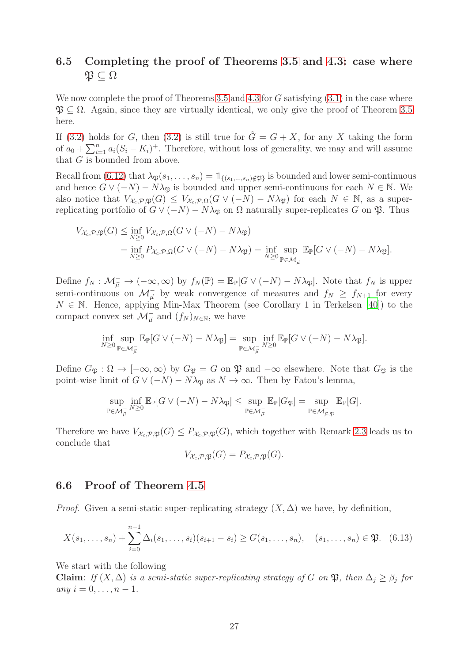## <span id="page-26-0"></span>6.5 Completing the proof of Theorems [3.5](#page-8-2) and [4.3:](#page-11-2) case where  $\mathfrak{P} \subseteq \Omega$

We now complete the proof of Theorems [3.5](#page-8-2) and [4.3](#page-11-2) for  $G$  satisfying  $(3.1)$  in the case where  $\mathfrak{P} \subset \Omega$ . Again, since they are virtually identical, we only give the proof of Theorem [3.5](#page-8-2) here.

If [\(3.2\)](#page-8-1) holds for G, then (3.2) is still true for  $\tilde{G} = G + X$ , for any X taking the form of  $a_0 + \sum_{i=1}^n a_i (S_i - K_i)^+$ . Therefore, without loss of generality, we may and will assume that G is bounded from above.

Recall from [\(6.12\)](#page-25-1) that  $\lambda_{\mathfrak{P}}(s_1, \ldots, s_n) = \mathbb{1}_{\{(s_1,\ldots,s_n)\notin\mathfrak{P}\}}$  is bounded and lower semi-continuous and hence  $G \vee (-N) - N\lambda_{\mathfrak{B}}$  is bounded and upper semi-continuous for each  $N \in \mathbb{N}$ . We also notice that  $V_{\mathcal{X}_c,\mathcal{P},\mathfrak{P}}(G) \leq V_{\mathcal{X}_c,\mathcal{P},\Omega}(G \vee (-N) - N\lambda_{\mathfrak{P}})$  for each  $N \in \mathbb{N}$ , as a superreplicating portfolio of  $G \vee (-N) - N\lambda_{\mathfrak{P}}$  on  $\Omega$  naturally super-replicates G on  $\mathfrak{P}$ . Thus

$$
V_{\mathcal{X}_c,\mathcal{P},\mathfrak{P}}(G) \le \inf_{N\ge 0} V_{\mathcal{X}_c,\mathcal{P},\Omega}(G\vee(-N)-N\lambda_{\mathfrak{P}})
$$
  
=  $\inf_{N\ge 0} P_{\mathcal{X}_c,\mathcal{P},\Omega}(G\vee(-N)-N\lambda_{\mathfrak{P}}) = \inf_{N\ge 0} \sup_{\mathbb{P}\in\mathcal{M}_{\mu}^-} \mathbb{E}_{\mathbb{P}}[G\vee(-N)-N\lambda_{\mathfrak{P}}].$ 

Define  $f_N: \mathcal{M}_{\vec{\mu}}^- \to (-\infty, \infty)$  by  $f_N(\mathbb{P}) = \mathbb{E}_{\mathbb{P}}[G \vee (-N) - N\lambda_{\mathfrak{P}}]$ . Note that  $f_N$  is upper semi-continuous on  $\mathcal{M}_{\vec{\mu}}^-$  by weak convergence of measures and  $f_N \geq f_{N+1}$  for every  $N \in \mathbb{N}$ . Hence, applying Min-Max Theorem (see Corollary 1 in Terkelsen [\[40](#page-31-12)]) to the compact convex set  $\mathcal{M}_{\vec{\mu}}^-$  and  $(f_N)_{N \in \mathbb{N}}$ , we have

$$
\inf_{N\geq 0}\sup_{\mathbb{P}\in \mathcal{M}_{\vec{\mu}}} \mathbb{E}_{\mathbb{P}}[G\vee (-N)-N\lambda_{\mathfrak{P}}]=\sup_{\mathbb{P}\in \mathcal{M}_{\vec{\mu}}} \inf_{N\geq 0} \mathbb{E}_{\mathbb{P}}[G\vee (-N)-N\lambda_{\mathfrak{P}}].
$$

Define  $G_{\mathfrak{B}} : \Omega \to [-\infty, \infty)$  by  $G_{\mathfrak{B}} = G$  on  $\mathfrak{P}$  and  $-\infty$  elsewhere. Note that  $G_{\mathfrak{B}}$  is the point-wise limit of  $G \vee (-N) - N\lambda_{\mathfrak{B}}$  as  $N \to \infty$ . Then by Fatou's lemma,

$$
\sup_{\mathbb{P}\in\mathcal{M}^-_{\vec{\mu}}} \inf_{N\geq 0} \mathbb{E}_{\mathbb{P}}[G \vee (-N) - N\lambda_{\mathfrak{P}}] \leq \sup_{\mathbb{P}\in\mathcal{M}^-_{\vec{\mu}}} \mathbb{E}_{\mathbb{P}}[G_{\mathfrak{P}}] = \sup_{\mathbb{P}\in\mathcal{M}^-_{\vec{\mu},\mathfrak{P}}} \mathbb{E}_{\mathbb{P}}[G].
$$

Therefore we have  $V_{\mathcal{X}_c,\mathcal{P},\mathfrak{P}}(G) \leq P_{\mathcal{X}_c,\mathcal{P},\mathfrak{P}}(G)$ , which together with Remark [2.3](#page-6-3) leads us to conclude that

<span id="page-26-2"></span>
$$
V_{\mathcal{X}_c,\mathcal{P},\mathfrak{P}}(G)=P_{\mathcal{X}_c,\mathcal{P},\mathfrak{P}}(G).
$$

### <span id="page-26-1"></span>6.6 Proof of Theorem [4.5](#page-13-1)

*Proof.* Given a semi-static super-replicating strategy  $(X, \Delta)$  we have, by definition,

$$
X(s_1, \ldots, s_n) + \sum_{i=0}^{n-1} \Delta_i(s_1, \ldots, s_i)(s_{i+1} - s_i) \ge G(s_1, \ldots, s_n), \quad (s_1, \ldots, s_n) \in \mathfrak{P}. \tag{6.13}
$$

We start with the following

Claim: *If*  $(X, \Delta)$  *is a semi-static super-replicating strategy of* G *on*  $\mathfrak{P}$ *, then*  $\Delta_j \geq \beta_j$  for  $any \ i = 0, \ldots, n - 1.$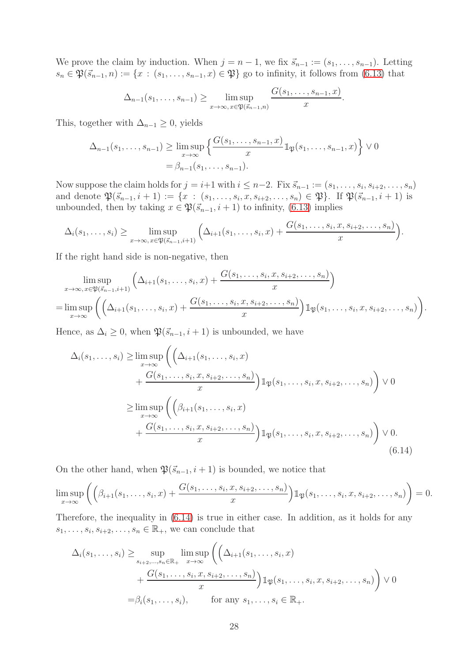We prove the claim by induction. When  $j = n - 1$ , we fix  $\vec{s}_{n-1} := (s_1, \ldots, s_{n-1})$ . Letting  $s_n \in \mathfrak{P}(\vec{s}_{n-1}, n) := \{x : (s_1, \ldots, s_{n-1}, x) \in \mathfrak{P}\}\$ go to infinity, it follows from [\(6.13\)](#page-26-2) that

$$
\Delta_{n-1}(s_1,\ldots,s_{n-1}) \geq \limsup_{x\to\infty, x\in\mathfrak{P}(\vec{s}_{n-1},n)} \frac{G(s_1,\ldots,s_{n-1},x)}{x}.
$$

This, together with  $\Delta_{n-1} \geq 0$ , yields

$$
\Delta_{n-1}(s_1, \dots, s_{n-1}) \ge \limsup_{x \to \infty} \left\{ \frac{G(s_1, \dots, s_{n-1}, x)}{x} \mathbb{1}_{\mathfrak{P}}(s_1, \dots, s_{n-1}, x) \right\} \vee 0
$$
  
=  $\beta_{n-1}(s_1, \dots, s_{n-1}).$ 

Now suppose the claim holds for  $j = i+1$  with  $i \leq n-2$ . Fix  $\vec{s}_{n-1} := (s_1, \ldots, s_i, s_{i+2}, \ldots, s_n)$ and denote  $\mathfrak{P}(\vec{s}_{n-1}, i+1) := \{x : (s_1, \ldots, s_i, x, s_{i+2}, \ldots, s_n) \in \mathfrak{P}\}\.$  If  $\mathfrak{P}(\vec{s}_{n-1}, i+1)$  is unbounded, then by taking  $x \in \mathfrak{P}(\vec{s}_{n-1}, i+1)$  to infinity, [\(6.13\)](#page-26-2) implies

$$
\Delta_i(s_1,\ldots,s_i) \geq \limsup_{x\to\infty, x\in\mathfrak{P}(\vec{s}_{n-1},i+1)} \left( \Delta_{i+1}(s_1,\ldots,s_i,x) + \frac{G(s_1,\ldots,s_i,x,s_{i+2},\ldots,s_n)}{x} \right).
$$

If the right hand side is non-negative, then

$$
\limsup_{x \to \infty, x \in \mathfrak{P}(\vec{s}_{n-1}, i+1)} \left( \Delta_{i+1}(s_1, \ldots, s_i, x) + \frac{G(s_1, \ldots, s_i, x, s_{i+2}, \ldots, s_n)}{x} \right)
$$
\n
$$
= \limsup_{x \to \infty} \left( \left( \Delta_{i+1}(s_1, \ldots, s_i, x) + \frac{G(s_1, \ldots, s_i, x, s_{i+2}, \ldots, s_n)}{x} \right) \mathbb{1}_{\mathfrak{P}}(s_1, \ldots, s_i, x, s_{i+2}, \ldots, s_n) \right).
$$

Hence, as  $\Delta_i \geq 0$ , when  $\mathfrak{P}(\vec{s}_{n-1}, i+1)$  is unbounded, we have

$$
\Delta_{i}(s_{1},...,s_{i}) \geq \limsup_{x \to \infty} \left( \left( \Delta_{i+1}(s_{1},...,s_{i},x)\n+ \frac{G(s_{1},...,s_{i},x,s_{i+2},...,s_{n})}{x} \right) \mathbb{1}_{\mathfrak{P}}(s_{1},...,s_{i},x,s_{i+2},...,s_{n}) \right) \vee 0
$$
\n
$$
\geq \limsup_{x \to \infty} \left( \left( \beta_{i+1}(s_{1},...,s_{i},x)\n+ \frac{G(s_{1},...,s_{i},x,s_{i+2},...,s_{n})}{x} \right) \mathbb{1}_{\mathfrak{P}}(s_{1},...,s_{i},x,s_{i+2},...,s_{n}) \right) \vee 0.
$$
\n(6.14)

On the other hand, when  $\mathfrak{P}(\vec{s}_{n-1}, i + 1)$  is bounded, we notice that

$$
\limsup_{x\to\infty}\left(\left(\beta_{i+1}(s_1,\ldots,s_i,x)+\frac{G(s_1,\ldots,s_i,x,s_{i+2},\ldots,s_n)}{x}\right)\mathbb{1}_{\mathfrak{P}}(s_1,\ldots,s_i,x,s_{i+2},\ldots,s_n)\right)=0.
$$

Therefore, the inequality in [\(6.14\)](#page-27-0) is true in either case. In addition, as it holds for any  $s_1, \ldots, s_i, s_{i+2}, \ldots, s_n \in \mathbb{R}_+$ , we can conclude that

<span id="page-27-0"></span>
$$
\Delta_i(s_1, \ldots, s_i) \ge \sup_{s_{i+2}, \ldots, s_n \in \mathbb{R}_+} \limsup_{x \to \infty} \left( \left( \Delta_{i+1}(s_1, \ldots, s_i, x) + \frac{G(s_1, \ldots, s_i, x, s_{i+2}, \ldots, s_n)}{x} \right) \mathbb{1}_{\mathfrak{P}}(s_1, \ldots, s_i, x, s_{i+2}, \ldots, s_n) \right) \vee 0
$$

$$
= \beta_i(s_1, \ldots, s_i), \qquad \text{for any } s_1, \ldots, s_i \in \mathbb{R}_+.
$$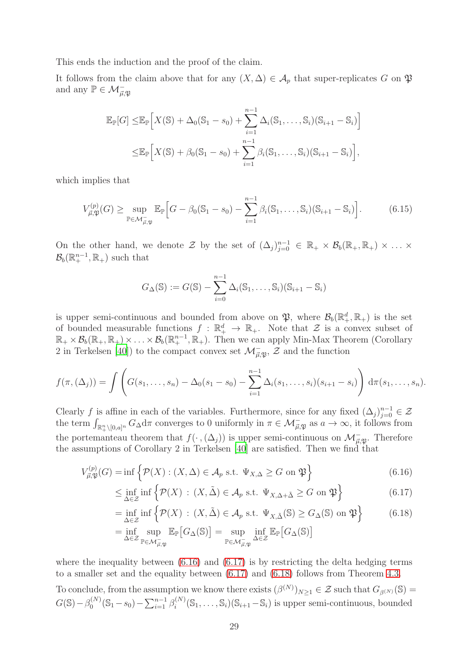This ends the induction and the proof of the claim.

It follows from the claim above that for any  $(X, \Delta) \in A_p$  that super-replicates G on  $\mathfrak P$ and any  $\mathbb{P} \in \mathcal{M}_{\vec{\mu}, \mathfrak{P}}^-$ 

$$
\mathbb{E}_{\mathbb{P}}[G] \leq \mathbb{E}_{\mathbb{P}}\Big[X(\mathbb{S}) + \Delta_0(\mathbb{S}_1 - s_0) + \sum_{i=1}^{n-1} \Delta_i(\mathbb{S}_1, \dots, \mathbb{S}_i)(\mathbb{S}_{i+1} - \mathbb{S}_i)\Big]
$$
  

$$
\leq \mathbb{E}_{\mathbb{P}}\Big[X(\mathbb{S}) + \beta_0(\mathbb{S}_1 - s_0) + \sum_{i=1}^{n-1} \beta_i(\mathbb{S}_1, \dots, \mathbb{S}_i)(\mathbb{S}_{i+1} - \mathbb{S}_i)\Big],
$$

which implies that

$$
V_{\vec{\mu}, \mathfrak{P}}^{(p)}(G) \ge \sup_{\mathbb{P} \in \mathcal{M}_{\vec{\mu}, \mathfrak{P}}^{\perp}} \mathbb{E}_{\mathbb{P}} \Big[ G - \beta_0 (\mathbb{S}_1 - s_0) - \sum_{i=1}^{n-1} \beta_i (\mathbb{S}_1, \dots, \mathbb{S}_i) (\mathbb{S}_{i+1} - \mathbb{S}_i) \Big]. \tag{6.15}
$$

On the other hand, we denote  $\mathcal Z$  by the set of  $(\Delta_j)_{j=0}^{n-1} \in \mathbb{R}_+ \times \mathcal B_b(\mathbb{R}_+, \mathbb{R}_+) \times \ldots \times$  $\mathcal{B}_b(\mathbb{R}^{n-1}_+, \mathbb{R}_+)$  such that

$$
G_{\Delta}(\mathbb{S}) := G(\mathbb{S}) - \sum_{i=0}^{n-1} \Delta_i(\mathbb{S}_1, \ldots, \mathbb{S}_i)(\mathbb{S}_{i+1} - \mathbb{S}_i)
$$

is upper semi-continuous and bounded from above on  $\mathfrak{P}$ , where  $\mathcal{B}_b(\mathbb{R}^d_+, \mathbb{R}_+)$  is the set of bounded measurable functions  $f : \mathbb{R}^d_+ \to \mathbb{R}_+$ . Note that  $\mathcal{Z}$  is a convex subset of  $\mathbb{R}_+ \times \mathcal{B}_b(\mathbb{R}_+,\mathbb{R}_+) \times \ldots \times \mathcal{B}_b(\mathbb{R}_+^{n-1},\mathbb{R}_+).$  Then we can apply Min-Max Theorem (Corollary 2 in Terkelsen [\[40](#page-31-12)]) to the compact convex set  $\mathcal{M}^-_{\vec{\mu}, \mathfrak{P}}, \mathcal{Z}$  and the function

$$
f(\pi, (\Delta_j)) = \int \left( G(s_1, \ldots, s_n) - \Delta_0(s_1 - s_0) - \sum_{i=1}^{n-1} \Delta_i(s_1, \ldots, s_i)(s_{i+1} - s_i) \right) d\pi(s_1, \ldots, s_n).
$$

Clearly f is affine in each of the variables. Furthermore, since for any fixed  $(\Delta_j)_{j=0}^{n-1} \in \mathcal{Z}$ the term  $\int_{\mathbb{R}^n_+\setminus[0,a]^n} G_\Delta d\pi$  converges to 0 uniformly in  $\pi \in \mathcal{M}^-_{\vec{\mu},\mathfrak{P}}$  as  $a \to \infty$ , it follows from the portemanteau theorem that  $f(\cdot, (\Delta_j))$  is upper semi-continuous on  $\mathcal{M}_{\vec{\mu}, \mathfrak{P}}^-$ . Therefore the assumptions of Corollary 2 in Terkelsen [\[40\]](#page-31-12) are satisfied. Then we find that

$$
V_{\vec{\mu}, \mathfrak{P}}^{(p)}(G) = \inf \left\{ \mathcal{P}(X) : (X, \Delta) \in \mathcal{A}_p \text{ s.t. } \Psi_{X, \Delta} \ge G \text{ on } \mathfrak{P} \right\}
$$
(6.16)

$$
\leq \inf_{\Delta \in \mathcal{Z}} \inf \left\{ \mathcal{P}(X) : (X, \tilde{\Delta}) \in \mathcal{A}_p \text{ s.t. } \Psi_{X, \Delta + \tilde{\Delta}} \geq G \text{ on } \mathfrak{P} \right\}
$$
(6.17)

<span id="page-28-2"></span><span id="page-28-1"></span><span id="page-28-0"></span>
$$
= \inf_{\Delta \in \mathcal{Z}} \inf \left\{ \mathcal{P}(X) : (X, \tilde{\Delta}) \in \mathcal{A}_p \text{ s.t. } \Psi_{X, \tilde{\Delta}}(\mathbb{S}) \ge G_{\Delta}(\mathbb{S}) \text{ on } \mathfrak{P} \right\}
$$
(6.18)

$$
= \inf_{\Delta \in \mathcal{Z}} \sup_{\mathbb{P} \in \mathcal{M}_{\vec{\mu},\mathfrak{P}}^-} \mathbb{E}_{\mathbb{P}} \big[ G_{\Delta}(\mathbb{S}) \big] = \sup_{\mathbb{P} \in \mathcal{M}_{\vec{\mu},\mathfrak{P}}^-} \inf_{\Delta \in \mathcal{Z}} \mathbb{E}_{\mathbb{P}} \big[ G_{\Delta}(\mathbb{S}) \big]
$$

where the inequality between  $(6.16)$  and  $(6.17)$  is by restricting the delta hedging terms to a smaller set and the equality between [\(6.17\)](#page-28-1) and [\(6.18\)](#page-28-2) follows from Theorem [4.3.](#page-11-2)

To conclude, from the assumption we know there exists  $(\beta^{(N)})_{N\geq 1} \in \mathcal{Z}$  such that  $G_{\beta^{(N)}}(\mathbb{S}) =$  $G(\mathbb{S}) - \beta_0^{(N)}$  $\binom{N}{0}$  (S<sub>1</sub> – s<sub>0</sub>) –  $\sum_{i=1}^{n-1} \beta_i^{(N)}$  $\binom{n}{i}(\mathbb{S}_1,\ldots,\mathbb{S}_i)(\mathbb{S}_{i+1}-\mathbb{S}_i)$  is upper semi-continuous, bounded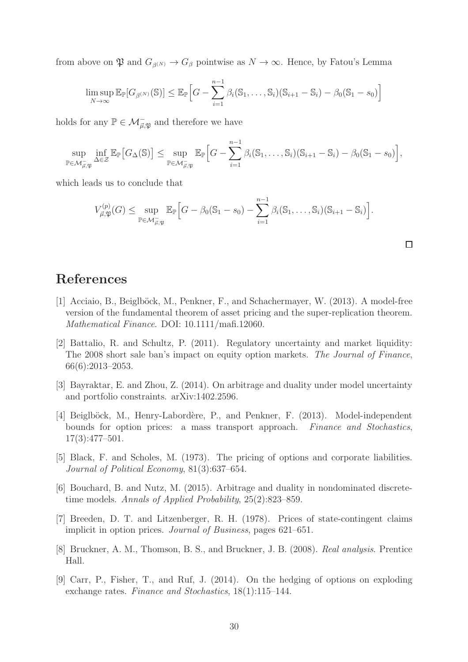from above on  $\mathfrak P$  and  $G_{\beta(N)} \to G_{\beta}$  pointwise as  $N \to \infty$ . Hence, by Fatou's Lemma

$$
\limsup_{N \to \infty} \mathbb{E}_{\mathbb{P}}[G_{\beta^{(N)}}(\mathbb{S})] \leq \mathbb{E}_{\mathbb{P}}\Big[G - \sum_{i=1}^{n-1} \beta_i(\mathbb{S}_1,\ldots,\mathbb{S}_i)(\mathbb{S}_{i+1} - \mathbb{S}_i) - \beta_0(\mathbb{S}_1 - s_0)\Big]
$$

holds for any  $\mathbb{P} \in \mathcal{M}^-_{\vec{\mu}, \mathfrak{P}}$  and therefore we have

$$
\sup_{\mathbb{P}\in\mathcal{M}_{\vec{\mu},\mathfrak{P}}}\inf_{\Delta\in\mathcal{Z}}\mathbb{E}_{\mathbb{P}}\big[G_{\Delta}(\mathbb{S})\big]\leq \sup_{\mathbb{P}\in\mathcal{M}_{\vec{\mu},\mathfrak{P}}}\mathbb{E}_{\mathbb{P}}\Big[G-\sum_{i=1}^{n-1}\beta_i(\mathbb{S}_1,\ldots,\mathbb{S}_i)(\mathbb{S}_{i+1}-\mathbb{S}_i)-\beta_0(\mathbb{S}_1-s_0)\Big],
$$

which leads us to conclude that

$$
V_{\vec{\mu},\mathfrak{P}}^{(p)}(G) \leq \sup_{\mathbb{P}\in\mathcal{M}_{\vec{\mu},\mathfrak{P}}^{\perp}} \mathbb{E}_{\mathbb{P}}\Big[G - \beta_0(\mathbb{S}_1 - s_0) - \sum_{i=1}^{n-1} \beta_i(\mathbb{S}_1,\ldots,\mathbb{S}_i)(\mathbb{S}_{i+1} - \mathbb{S}_i)\Big].
$$

 $\Box$ 

## References

- <span id="page-29-7"></span>[1] Acciaio, B., Beiglböck, M., Penkner, F., and Schachermayer, W. (2013). A model-free version of the fundamental theorem of asset pricing and the super-replication theorem. *Mathematical Finance*. DOI: 10.1111/mafi.12060.
- <span id="page-29-4"></span>[2] Battalio, R. and Schultz, P. (2011). Regulatory uncertainty and market liquidity: The 2008 short sale ban's impact on equity option markets. *The Journal of Finance*, 66(6):2013–2053.
- <span id="page-29-5"></span>[3] Bayraktar, E. and Zhou, Z. (2014). On arbitrage and duality under model uncertainty and portfolio constraints. arXiv:1402.2596.
- <span id="page-29-2"></span>[4] Beiglböck, M., Henry-Labordère, P., and Penkner, F. (2013). Model-independent bounds for option prices: a mass transport approach. *Finance and Stochastics*, 17(3):477–501.
- <span id="page-29-0"></span>[5] Black, F. and Scholes, M. (1973). The pricing of options and corporate liabilities. *Journal of Political Economy*, 81(3):637–654.
- <span id="page-29-6"></span>[6] Bouchard, B. and Nutz, M. (2015). Arbitrage and duality in nondominated discretetime models. *Annals of Applied Probability*, 25(2):823–859.
- <span id="page-29-1"></span>[7] Breeden, D. T. and Litzenberger, R. H. (1978). Prices of state-contingent claims implicit in option prices. *Journal of Business*, pages 621–651.
- <span id="page-29-8"></span>[8] Bruckner, A. M., Thomson, B. S., and Bruckner, J. B. (2008). *Real analysis*. Prentice Hall.
- <span id="page-29-3"></span>[9] Carr, P., Fisher, T., and Ruf, J. (2014). On the hedging of options on exploding exchange rates. *Finance and Stochastics*, 18(1):115–144.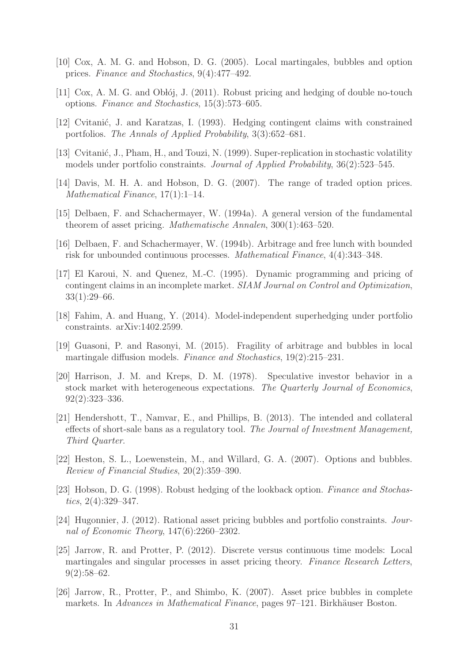- <span id="page-30-6"></span>[10] Cox, A. M. G. and Hobson, D. G. (2005). Local martingales, bubbles and option prices. *Finance and Stochastics*, 9(4):477–492.
- <span id="page-30-16"></span>[11] Cox, A. M. G. and Obloj, J.  $(2011)$ . Robust pricing and hedging of double no-touch options. *Finance and Stochastics*, 15(3):573–605.
- <span id="page-30-2"></span>[12] Cvitanić, J. and Karatzas, I. (1993). Hedging contingent claims with constrained portfolios. *The Annals of Applied Probability*, 3(3):652–681.
- <span id="page-30-3"></span>[13] Cvitanić, J., Pham, H., and Touzi, N. (1999). Super-replication in stochastic volatility models under portfolio constraints. *Journal of Applied Probability*, 36(2):523–545.
- <span id="page-30-15"></span>[14] Davis, M. H. A. and Hobson, D. G. (2007). The range of traded option prices. *Mathematical Finance*, 17(1):1–14.
- <span id="page-30-1"></span>[15] Delbaen, F. and Schachermayer, W. (1994a). A general version of the fundamental theorem of asset pricing. *Mathematische Annalen*, 300(1):463–520.
- <span id="page-30-8"></span>[16] Delbaen, F. and Schachermayer, W. (1994b). Arbitrage and free lunch with bounded risk for unbounded continuous processes. *Mathematical Finance*, 4(4):343–348.
- <span id="page-30-0"></span>[17] El Karoui, N. and Quenez, M.-C. (1995). Dynamic programming and pricing of contingent claims in an incomplete market. *SIAM Journal on Control and Optimization*, 33(1):29–66.
- <span id="page-30-14"></span>[18] Fahim, A. and Huang, Y. (2014). Model-independent superhedging under portfolio constraints. arXiv:1402.2599.
- <span id="page-30-12"></span>[19] Guasoni, P. and Rasonyi, M. (2015). Fragility of arbitrage and bubbles in local martingale diffusion models. *Finance and Stochastics*, 19(2):215–231.
- <span id="page-30-10"></span>[20] Harrison, J. M. and Kreps, D. M. (1978). Speculative investor behavior in a stock market with heterogeneous expectations. *The Quarterly Journal of Economics*, 92(2):323–336.
- <span id="page-30-13"></span>[21] Hendershott, T., Namvar, E., and Phillips, B. (2013). The intended and collateral effects of short-sale bans as a regulatory tool. *The Journal of Investment Management, Third Quarter*.
- <span id="page-30-5"></span>[22] Heston, S. L., Loewenstein, M., and Willard, G. A. (2007). Options and bubbles. *Review of Financial Studies*, 20(2):359–390.
- <span id="page-30-4"></span>[23] Hobson, D. G. (1998). Robust hedging of the lookback option. *Finance and Stochastics*, 2(4):329–347.
- <span id="page-30-9"></span>[24] Hugonnier, J. (2012). Rational asset pricing bubbles and portfolio constraints. *Journal of Economic Theory*, 147(6):2260–2302.
- <span id="page-30-11"></span>[25] Jarrow, R. and Protter, P. (2012). Discrete versus continuous time models: Local martingales and singular processes in asset pricing theory. *Finance Research Letters*,  $9(2):58-62.$
- <span id="page-30-7"></span>[26] Jarrow, R., Protter, P., and Shimbo, K. (2007). Asset price bubbles in complete markets. In *Advances in Mathematical Finance*, pages 97–121. Birkhäuser Boston.